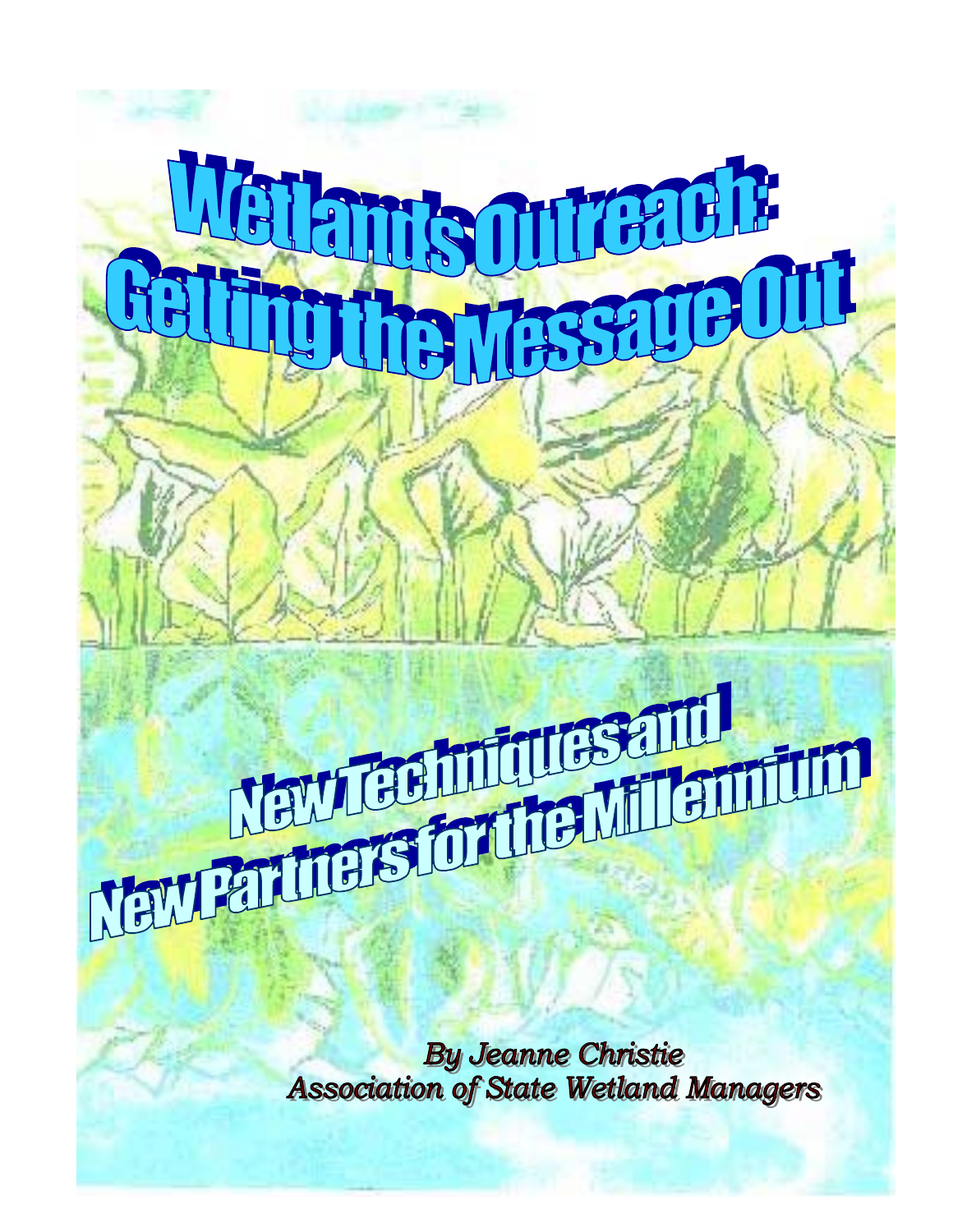# Metlamis outrack

# New Cehniques and

**By Jeanne Christie Association of State Wetland Managers**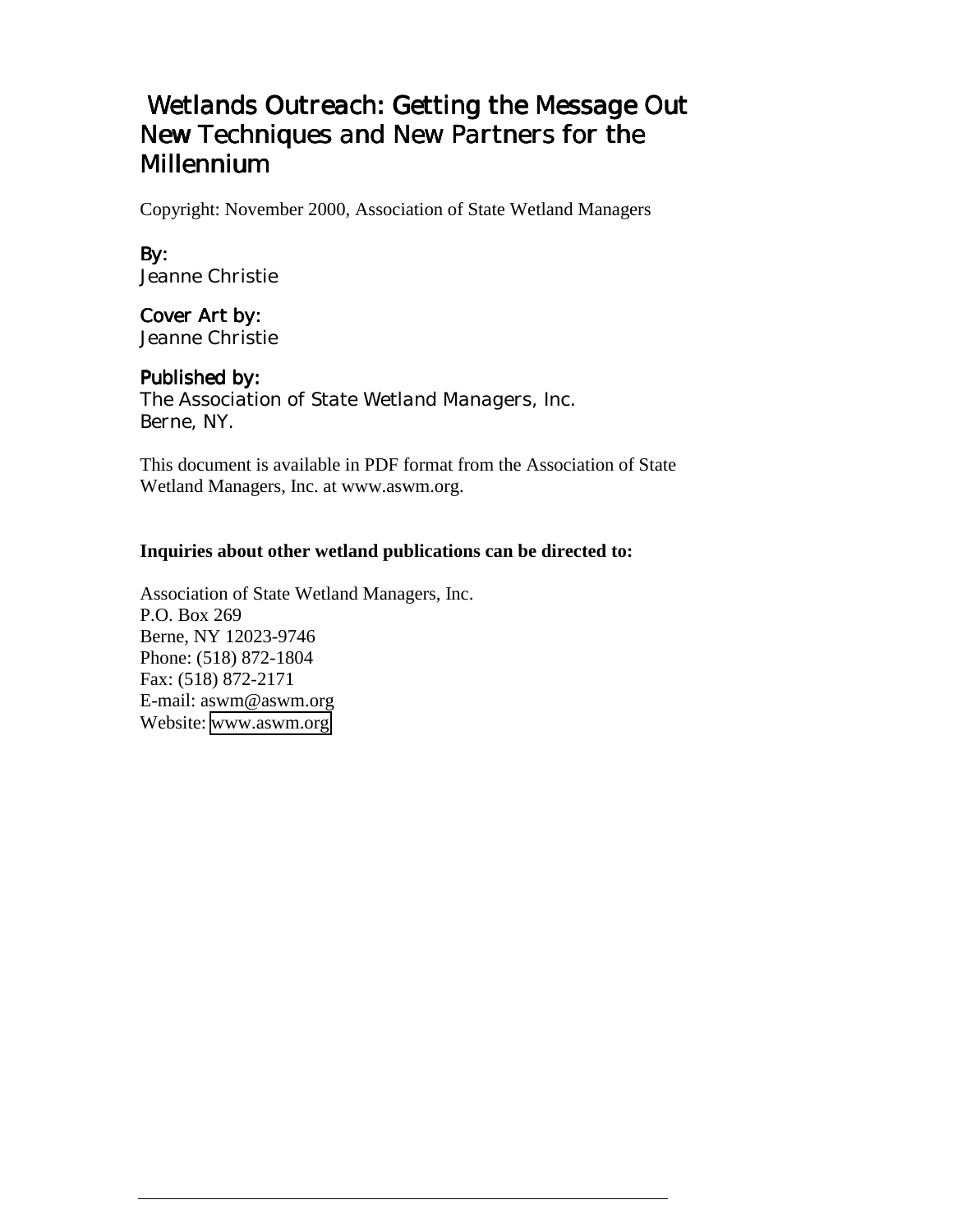### Wetlands Outreach: Getting the Message Out *New Techniques and New Partners for the Millennium Millennium*

Copyright: November 2000, Association of State Wetland Managers

### *By:*

*Jeanne Christie* 

### *Cover Art by: Cover Art by:*

*Jeanne Christie* 

### *Published by:*

*The Association of State Wetland Managers, Inc. Berne, NY.* 

This document is available in PDF format from the Association of State Wetland Managers, Inc. at www.aswm.org.

### **Inquiries about other wetland publications can be directed to:**

Association of State Wetland Managers, Inc. P.O. Box 269 Berne, NY 12023-9746 Phone: (518) 872-1804 Fax: (518) 872-2171 E-mail: aswm@aswm.org Website: [www.aswm.org](http://www.aswm.org/)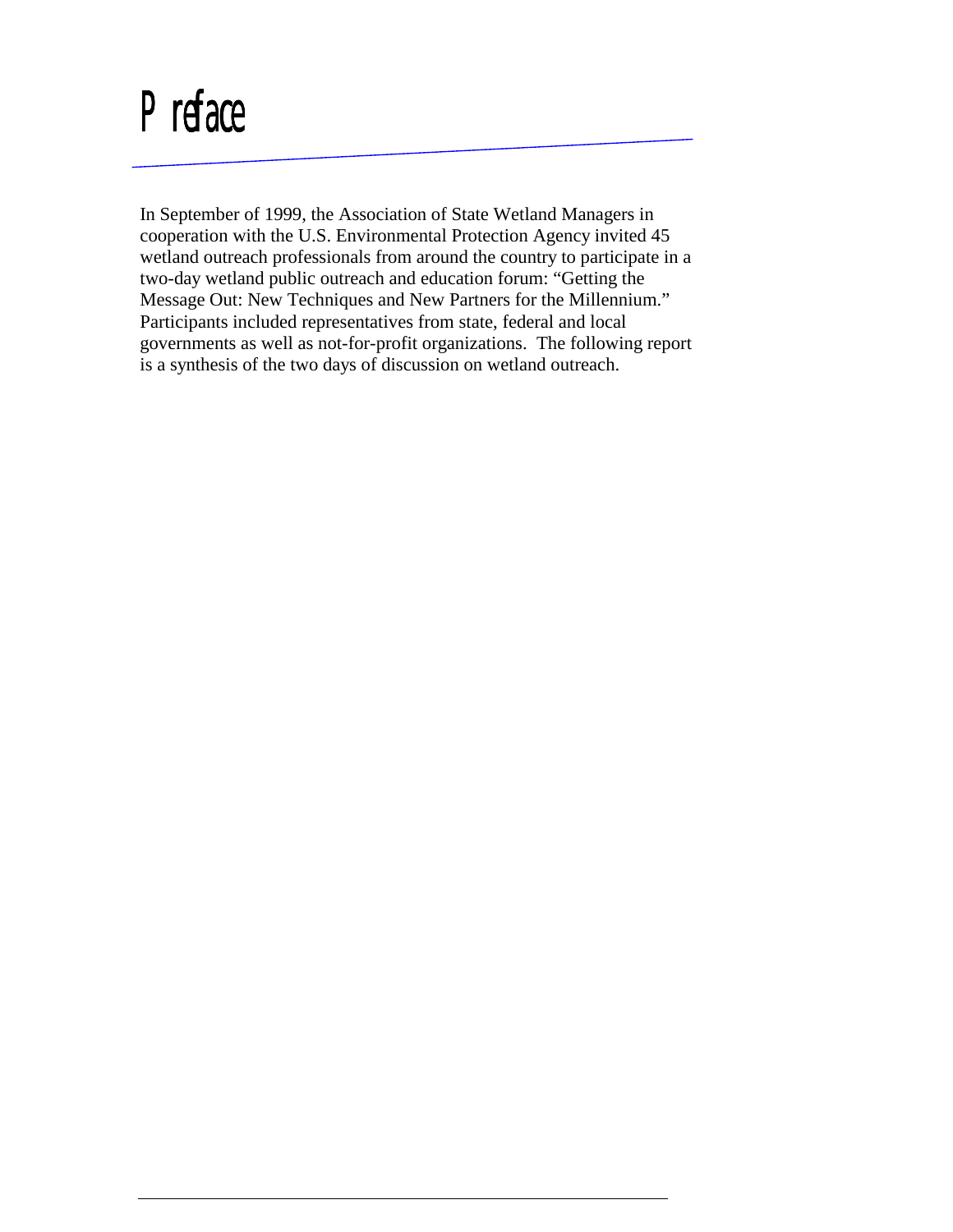## **Preface Preface**

In September of 1999, the Association of State Wetland Managers in cooperation with the U.S. Environmental Protection Agency invited 45 wetland outreach professionals from around the country to participate in a two-day wetland public outreach and education forum: "Getting the Message Out: New Techniques and New Partners for the Millennium." Participants included representatives from state, federal and local governments as well as not-for-profit organizations. The following report is a synthesis of the two days of discussion on wetland outreach.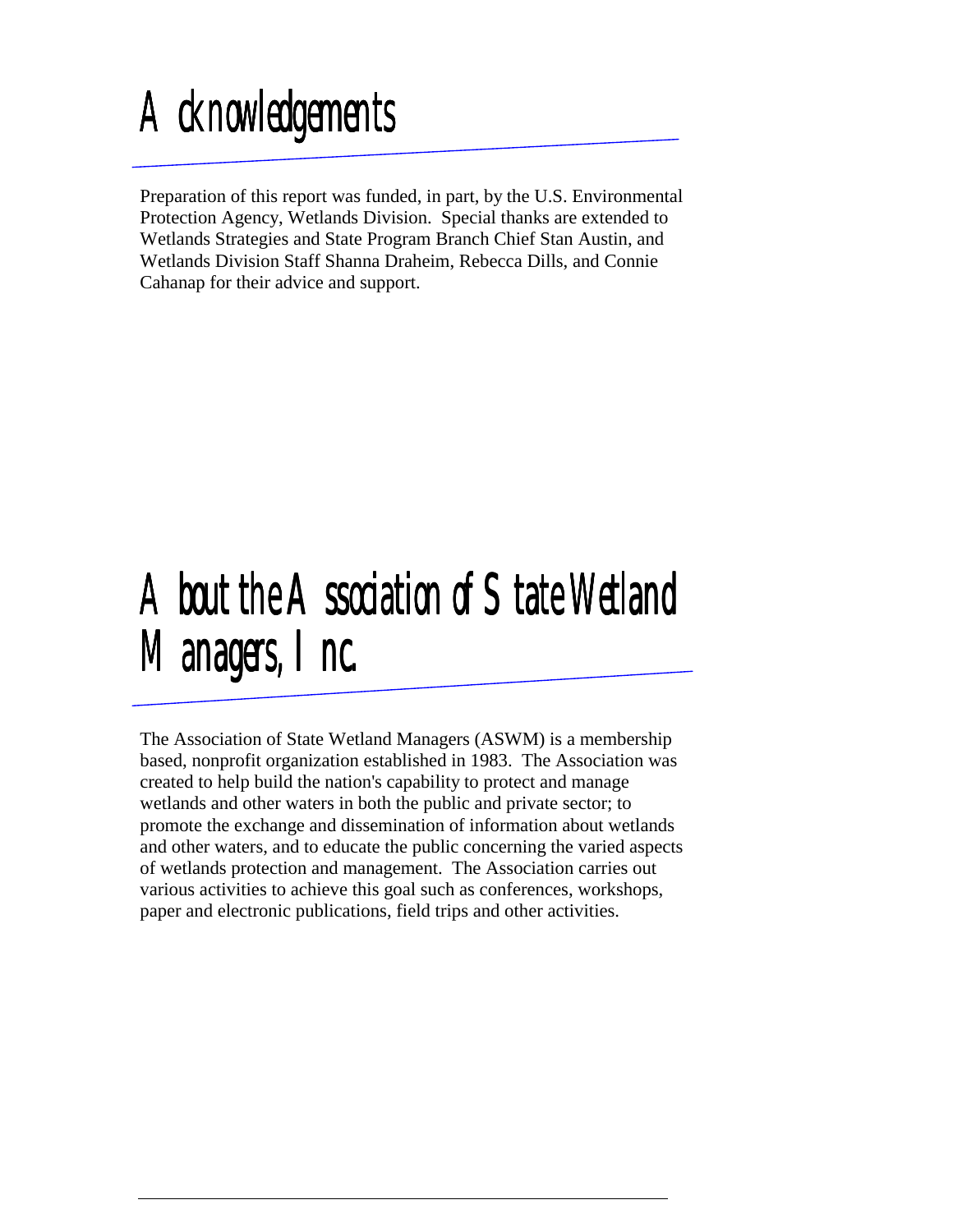# **Acknowledgements Acknowledgements Acknowledgements**

Preparation of this report was funded, in part, by the U.S. Environmental Protection Agency, Wetlands Division. Special thanks are extended to Wetlands Strategies and State Program Branch Chief Stan Austin, and Wetlands Division Staff Shanna Draheim, Rebecca Dills, and Connie Cahanap for their advice and support.

# **About the Association of State Wetland Managers, Inc. Inc. Managers, Inc.**

The Association of State Wetland Managers (ASWM) is a membership based, nonprofit organization established in 1983. The Association was created to help build the nation's capability to protect and manage wetlands and other waters in both the public and private sector; to promote the exchange and dissemination of information about wetlands and other waters, and to educate the public concerning the varied aspects of wetlands protection and management. The Association carries out various activities to achieve this goal such as conferences, workshops, paper and electronic publications, field trips and other activities.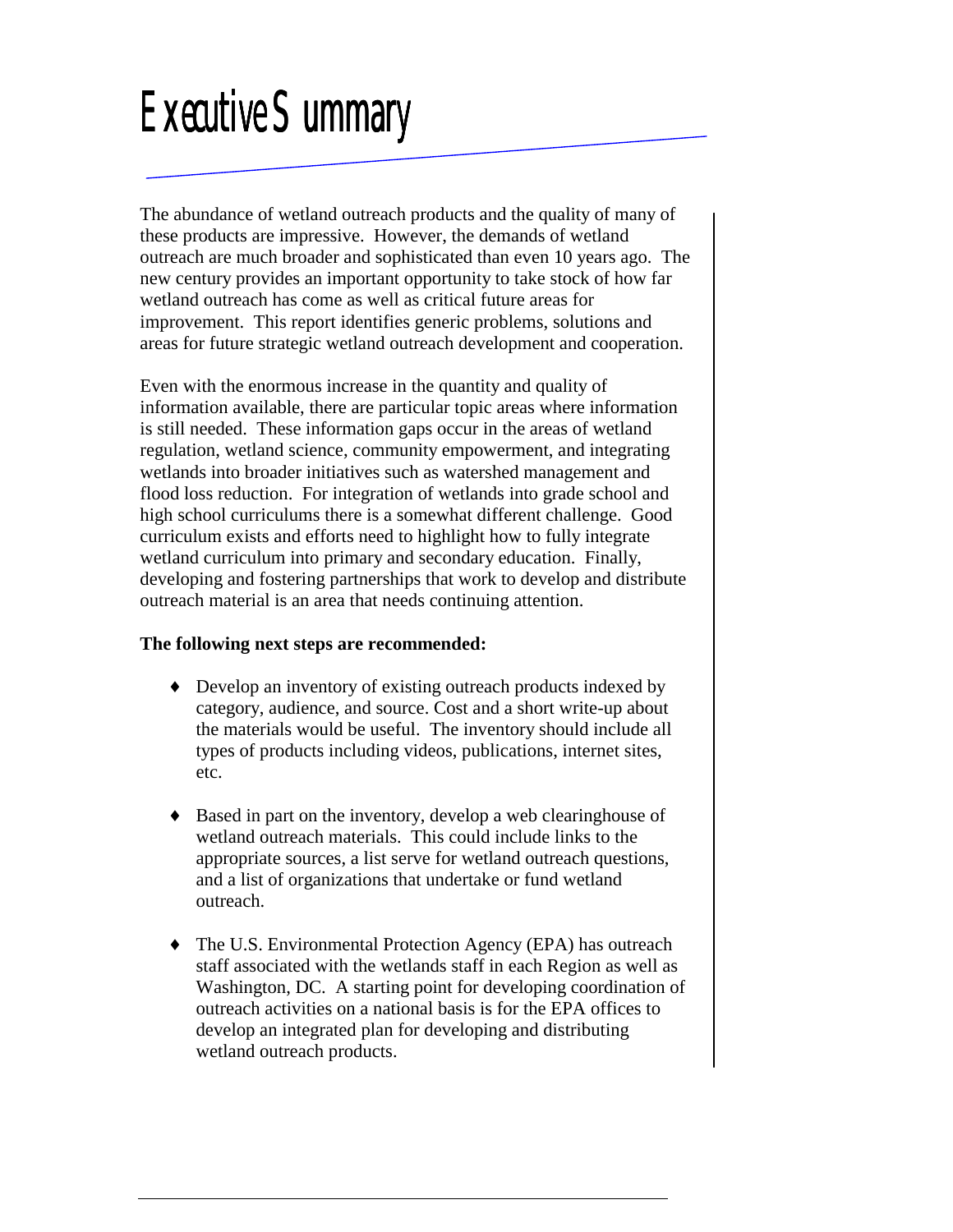# **Executive Summary**

The abundance of wetland outreach products and the quality of many of these products are impressive. However, the demands of wetland outreach are much broader and sophisticated than even 10 years ago. The new century provides an important opportunity to take stock of how far wetland outreach has come as well as critical future areas for improvement. This report identifies generic problems, solutions and areas for future strategic wetland outreach development and cooperation.

Even with the enormous increase in the quantity and quality of information available, there are particular topic areas where information is still needed. These information gaps occur in the areas of wetland regulation, wetland science, community empowerment, and integrating wetlands into broader initiatives such as watershed management and flood loss reduction. For integration of wetlands into grade school and high school curriculums there is a somewhat different challenge. Good curriculum exists and efforts need to highlight how to fully integrate wetland curriculum into primary and secondary education. Finally, developing and fostering partnerships that work to develop and distribute outreach material is an area that needs continuing attention.

### **The following next steps are recommended:**

- ♦ Develop an inventory of existing outreach products indexed by category, audience, and source. Cost and a short write-up about the materials would be useful. The inventory should include all types of products including videos, publications, internet sites, etc.
- ♦ Based in part on the inventory, develop a web clearinghouse of wetland outreach materials. This could include links to the appropriate sources, a list serve for wetland outreach questions, and a list of organizations that undertake or fund wetland outreach.
- The U.S. Environmental Protection Agency (EPA) has outreach staff associated with the wetlands staff in each Region as well as Washington, DC. A starting point for developing coordination of outreach activities on a national basis is for the EPA offices to develop an integrated plan for developing and distributing wetland outreach products.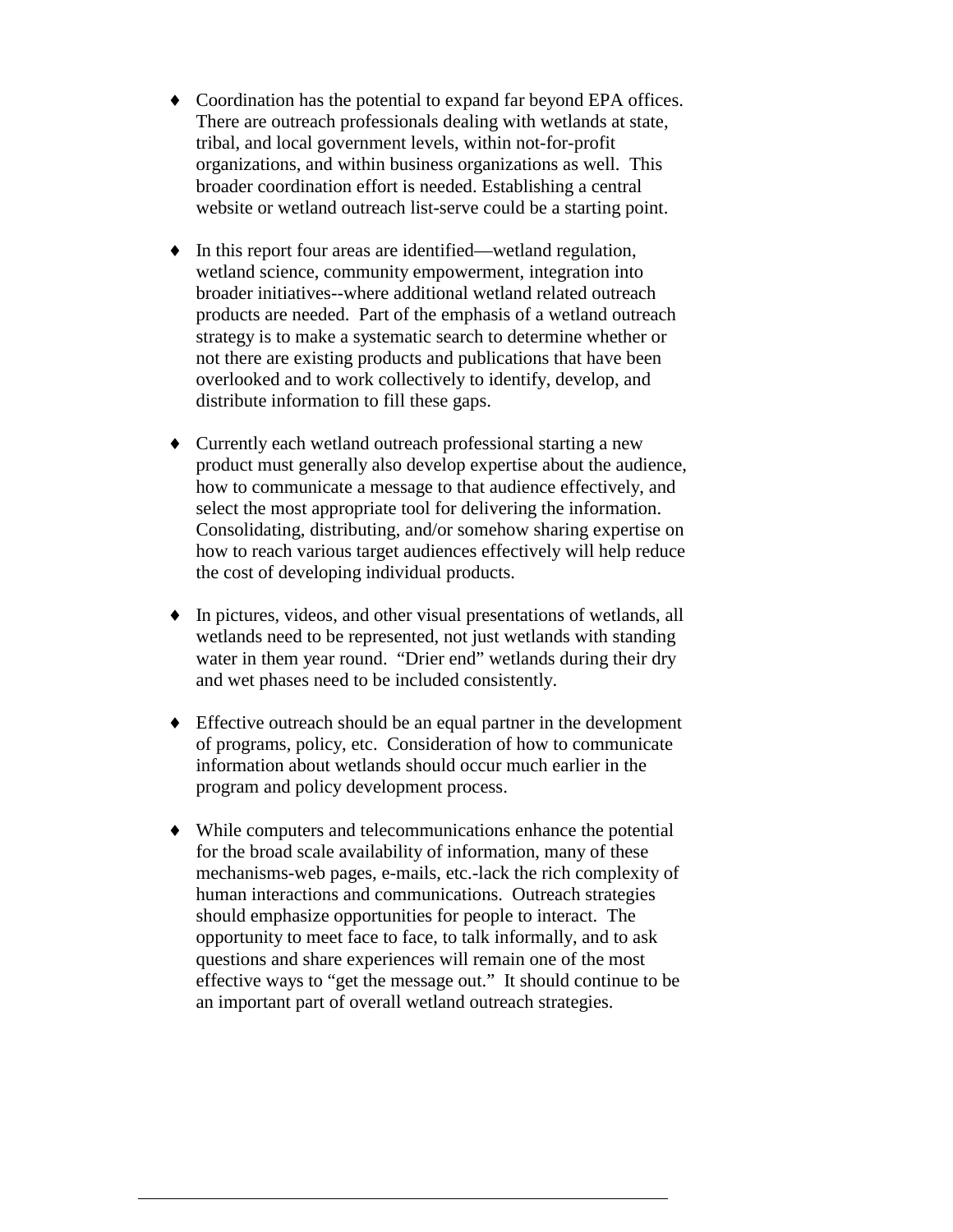- ♦ Coordination has the potential to expand far beyond EPA offices. There are outreach professionals dealing with wetlands at state, tribal, and local government levels, within not-for-profit organizations, and within business organizations as well. This broader coordination effort is needed. Establishing a central website or wetland outreach list-serve could be a starting point.
- ♦ In this report four areas are identified—wetland regulation, wetland science, community empowerment, integration into broader initiatives--where additional wetland related outreach products are needed. Part of the emphasis of a wetland outreach strategy is to make a systematic search to determine whether or not there are existing products and publications that have been overlooked and to work collectively to identify, develop, and distribute information to fill these gaps.
- ♦ Currently each wetland outreach professional starting a new product must generally also develop expertise about the audience, how to communicate a message to that audience effectively, and select the most appropriate tool for delivering the information. Consolidating, distributing, and/or somehow sharing expertise on how to reach various target audiences effectively will help reduce the cost of developing individual products.
- ♦ In pictures, videos, and other visual presentations of wetlands, all wetlands need to be represented, not just wetlands with standing water in them year round. "Drier end" wetlands during their dry and wet phases need to be included consistently.
- ♦ Effective outreach should be an equal partner in the development of programs, policy, etc. Consideration of how to communicate information about wetlands should occur much earlier in the program and policy development process.
- ♦ While computers and telecommunications enhance the potential for the broad scale availability of information, many of these mechanisms-web pages, e-mails, etc.-lack the rich complexity of human interactions and communications. Outreach strategies should emphasize opportunities for people to interact. The opportunity to meet face to face, to talk informally, and to ask questions and share experiences will remain one of the most effective ways to "get the message out." It should continue to be an important part of overall wetland outreach strategies.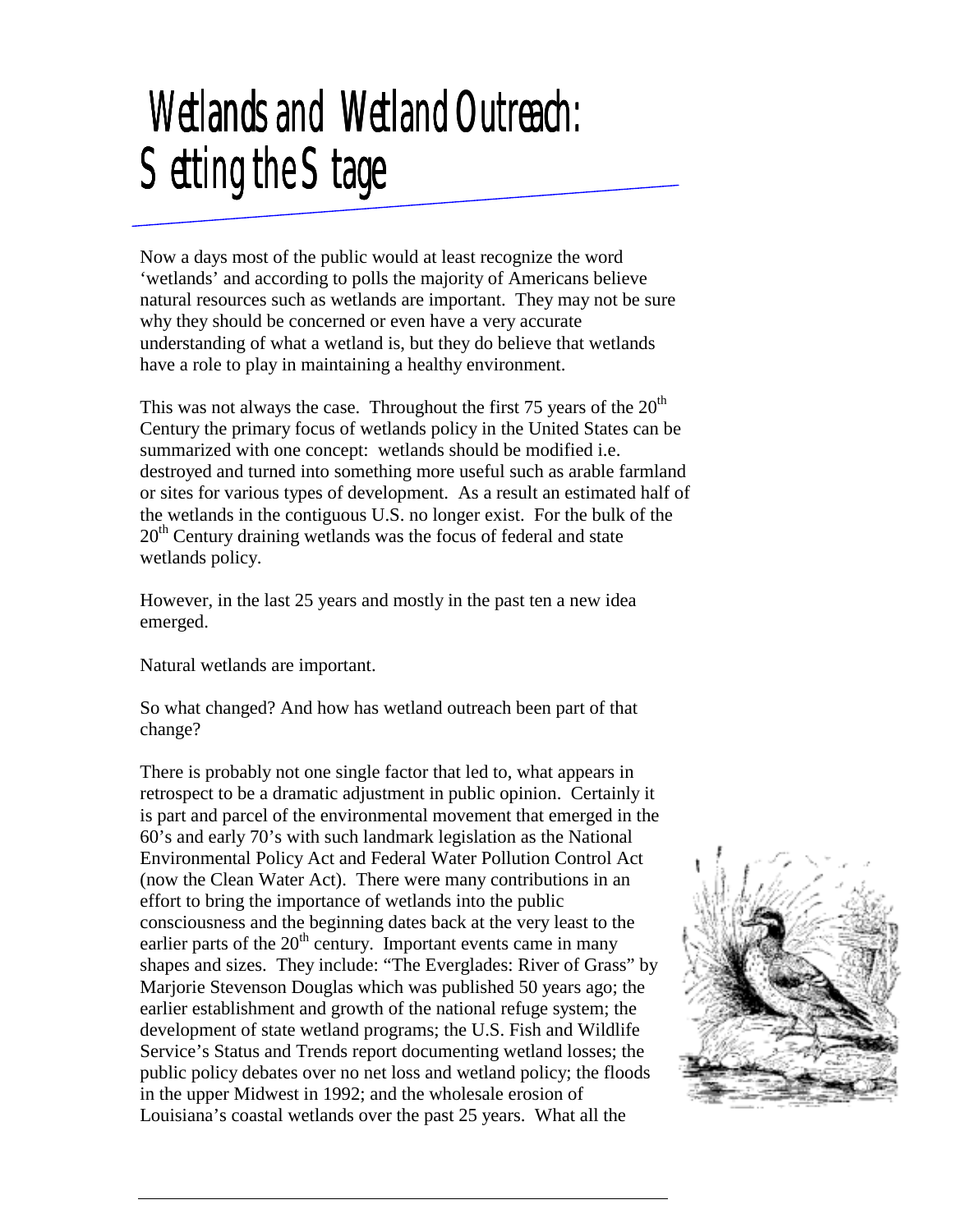# **Wetlands and Wetland Outreach: Setting the Stage**

Now a days most of the public would at least recognize the word 'wetlands' and according to polls the majority of Americans believe natural resources such as wetlands are important. They may not be sure why they should be concerned or even have a very accurate understanding of what a wetland is, but they do believe that wetlands have a role to play in maintaining a healthy environment.

This was not always the case. Throughout the first 75 years of the  $20<sup>th</sup>$ Century the primary focus of wetlands policy in the United States can be summarized with one concept: wetlands should be modified i.e. destroyed and turned into something more useful such as arable farmland or sites for various types of development. As a result an estimated half of the wetlands in the contiguous U.S. no longer exist. For the bulk of the  $20<sup>th</sup>$  Century draining wetlands was the focus of federal and state wetlands policy.

However, in the last 25 years and mostly in the past ten a new idea emerged.

Natural wetlands are important.

So what changed? And how has wetland outreach been part of that change?

There is probably not one single factor that led to, what appears in retrospect to be a dramatic adjustment in public opinion. Certainly it is part and parcel of the environmental movement that emerged in the 60's and early 70's with such landmark legislation as the National Environmental Policy Act and Federal Water Pollution Control Act (now the Clean Water Act). There were many contributions in an effort to bring the importance of wetlands into the public consciousness and the beginning dates back at the very least to the earlier parts of the  $20<sup>th</sup>$  century. Important events came in many shapes and sizes. They include: "The Everglades: River of Grass" by Marjorie Stevenson Douglas which was published 50 years ago; the earlier establishment and growth of the national refuge system; the development of state wetland programs; the U.S. Fish and Wildlife Service's Status and Trends report documenting wetland losses; the public policy debates over no net loss and wetland policy; the floods in the upper Midwest in 1992; and the wholesale erosion of Louisiana's coastal wetlands over the past 25 years. What all the

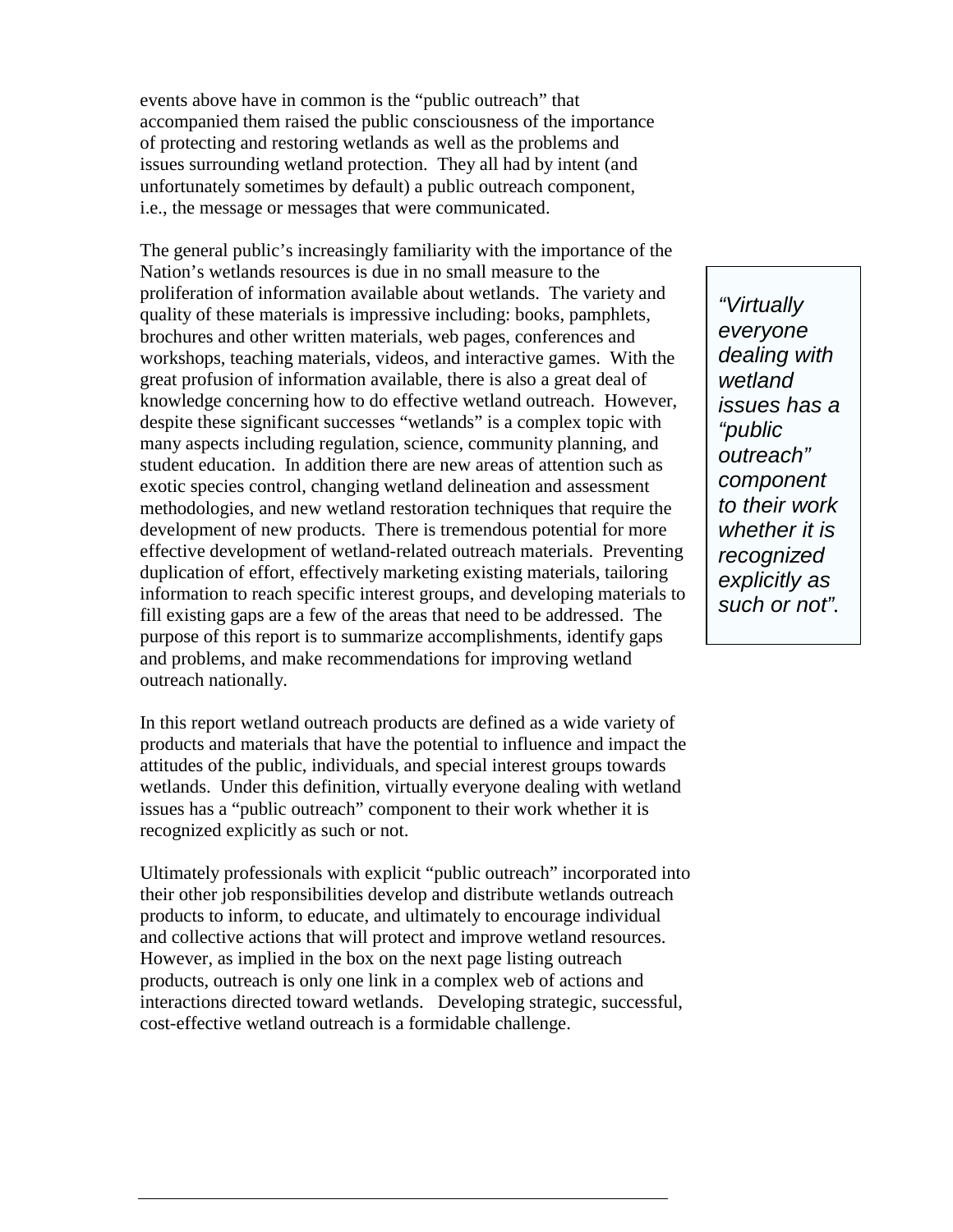events above have in common is the "public outreach" that accompanied them raised the public consciousness of the importance of protecting and restoring wetlands as well as the problems and issues surrounding wetland protection. They all had by intent (and unfortunately sometimes by default) a public outreach component, i.e., the message or messages that were communicated.

The general public's increasingly familiarity with the importance of the Nation's wetlands resources is due in no small measure to the proliferation of information available about wetlands. The variety and quality of these materials is impressive including: books, pamphlets, brochures and other written materials, web pages, conferences and workshops, teaching materials, videos, and interactive games. With the great profusion of information available, there is also a great deal of knowledge concerning how to do effective wetland outreach. However, despite these significant successes "wetlands" is a complex topic with many aspects including regulation, science, community planning, and student education. In addition there are new areas of attention such as exotic species control, changing wetland delineation and assessment methodologies, and new wetland restoration techniques that require the development of new products. There is tremendous potential for more effective development of wetland-related outreach materials. Preventing duplication of effort, effectively marketing existing materials, tailoring information to reach specific interest groups, and developing materials to fill existing gaps are a few of the areas that need to be addressed. The purpose of this report is to summarize accomplishments, identify gaps and problems, and make recommendations for improving wetland outreach nationally.

In this report wetland outreach products are defined as a wide variety of products and materials that have the potential to influence and impact the attitudes of the public, individuals, and special interest groups towards wetlands. Under this definition, virtually everyone dealing with wetland issues has a "public outreach" component to their work whether it is recognized explicitly as such or not.

Ultimately professionals with explicit "public outreach" incorporated into their other job responsibilities develop and distribute wetlands outreach products to inform, to educate, and ultimately to encourage individual and collective actions that will protect and improve wetland resources. However, as implied in the box on the next page listing outreach products, outreach is only one link in a complex web of actions and interactions directed toward wetlands. Developing strategic, successful, cost-effective wetland outreach is a formidable challenge.

*"Virtually everyone dealing with wetland issues has a "public outreach" component to their work whether it is recognized explicitly as such or not".*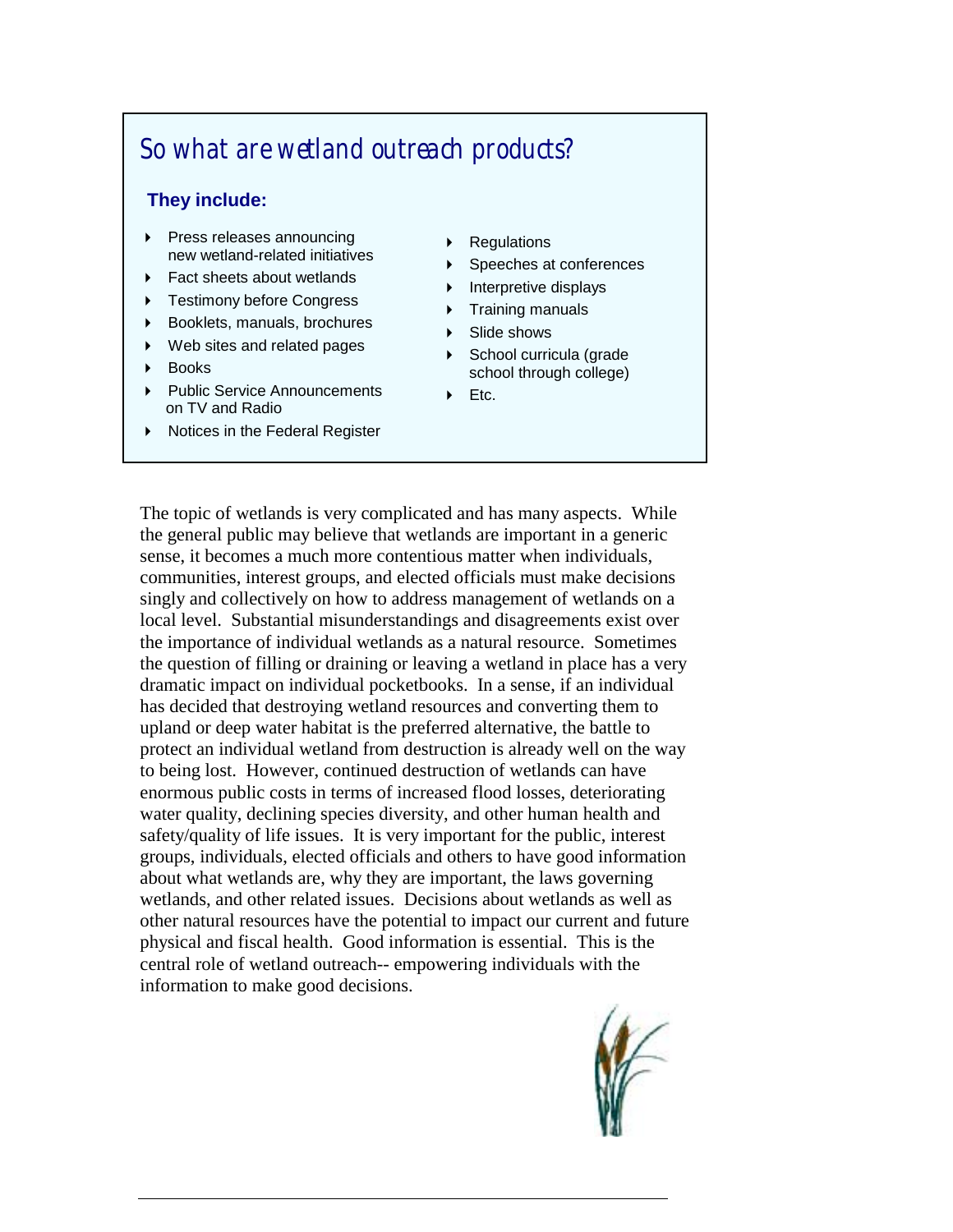### So what are wetland outreach products?

### **They include:**

- **Press releases announcing** new wetland-related initiatives
- ! Fact sheets about wetlands
- **F** Testimony before Congress
- ! Booklets, manuals, brochures
- ▶ Web sites and related pages
- ▶ Books
- Public Service Announcements on TV and Radio
- Notices in the Federal Register
- **Regulations**
- Speeches at conferences
- Interpretive displays
- $\triangleright$  Training manuals
- Slide shows
- School curricula (grade school through college)
	- ! Etc.

The topic of wetlands is very complicated and has many aspects. While the general public may believe that wetlands are important in a generic sense, it becomes a much more contentious matter when individuals, communities, interest groups, and elected officials must make decisions singly and collectively on how to address management of wetlands on a local level. Substantial misunderstandings and disagreements exist over the importance of individual wetlands as a natural resource. Sometimes the question of filling or draining or leaving a wetland in place has a very dramatic impact on individual pocketbooks. In a sense, if an individual has decided that destroying wetland resources and converting them to upland or deep water habitat is the preferred alternative, the battle to protect an individual wetland from destruction is already well on the way to being lost. However, continued destruction of wetlands can have enormous public costs in terms of increased flood losses, deteriorating water quality, declining species diversity, and other human health and safety/quality of life issues. It is very important for the public, interest groups, individuals, elected officials and others to have good information about what wetlands are, why they are important, the laws governing wetlands, and other related issues. Decisions about wetlands as well as other natural resources have the potential to impact our current and future physical and fiscal health. Good information is essential. This is the central role of wetland outreach-- empowering individuals with the information to make good decisions.

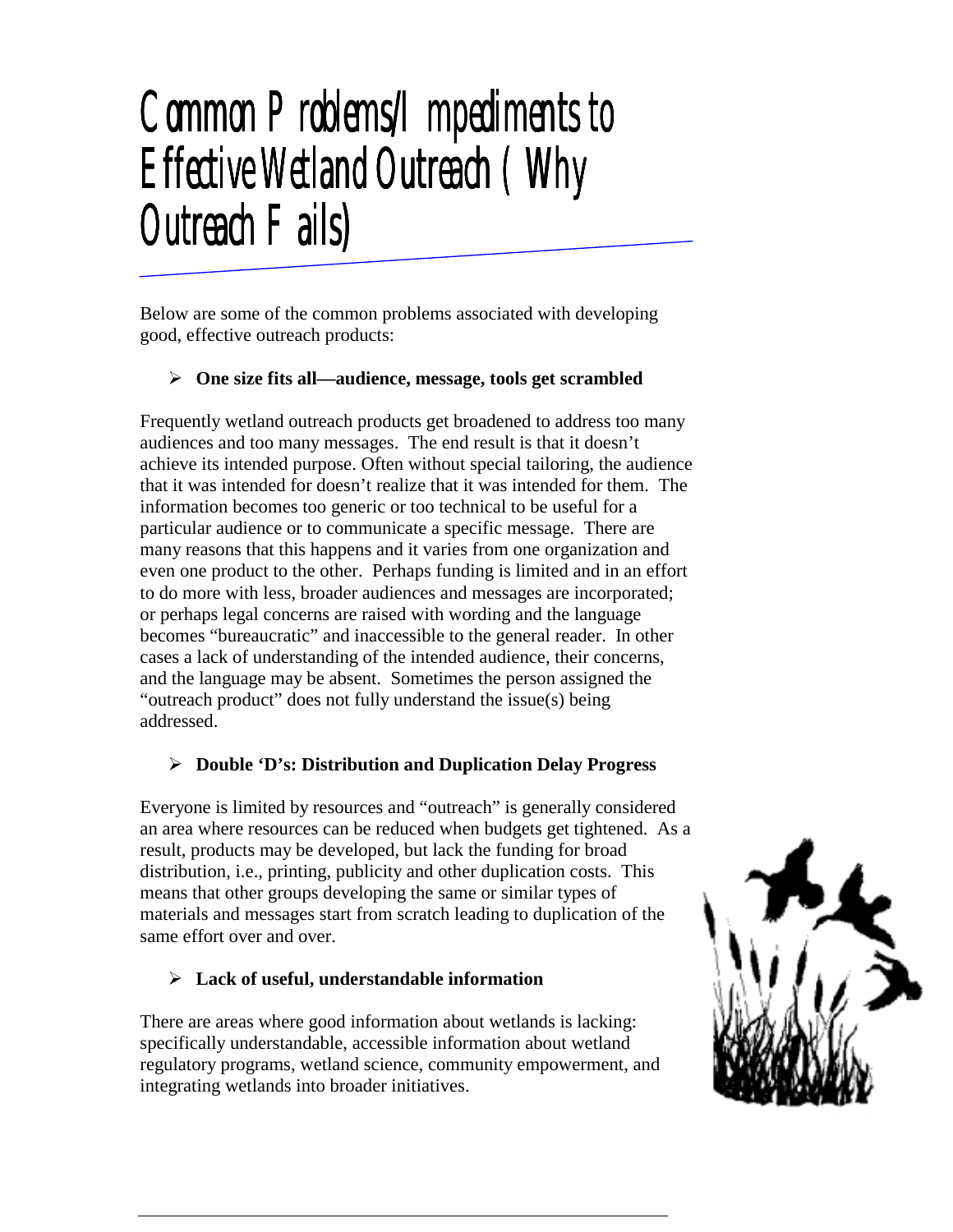# **Common Problems/Impediments to Effective Wetland Outreach (Why Outreach Fails**

Below are some of the common problems associated with developing good, effective outreach products:

### ! **One size fits all—audience, message, tools get scrambled**

Frequently wetland outreach products get broadened to address too many audiences and too many messages. The end result is that it doesn't achieve its intended purpose. Often without special tailoring, the audience that it was intended for doesn't realize that it was intended for them. The information becomes too generic or too technical to be useful for a particular audience or to communicate a specific message. There are many reasons that this happens and it varies from one organization and even one product to the other. Perhaps funding is limited and in an effort to do more with less, broader audiences and messages are incorporated; or perhaps legal concerns are raised with wording and the language becomes "bureaucratic" and inaccessible to the general reader. In other cases a lack of understanding of the intended audience, their concerns, and the language may be absent. Sometimes the person assigned the "outreach product" does not fully understand the issue(s) being addressed.

### ! **Double 'D's: Distribution and Duplication Delay Progress**

Everyone is limited by resources and "outreach" is generally considered an area where resources can be reduced when budgets get tightened. As a result, products may be developed, but lack the funding for broad distribution, i.e., printing, publicity and other duplication costs. This means that other groups developing the same or similar types of materials and messages start from scratch leading to duplication of the same effort over and over.

### ! **Lack of useful, understandable information**

There are areas where good information about wetlands is lacking: specifically understandable, accessible information about wetland regulatory programs, wetland science, community empowerment, and integrating wetlands into broader initiatives.

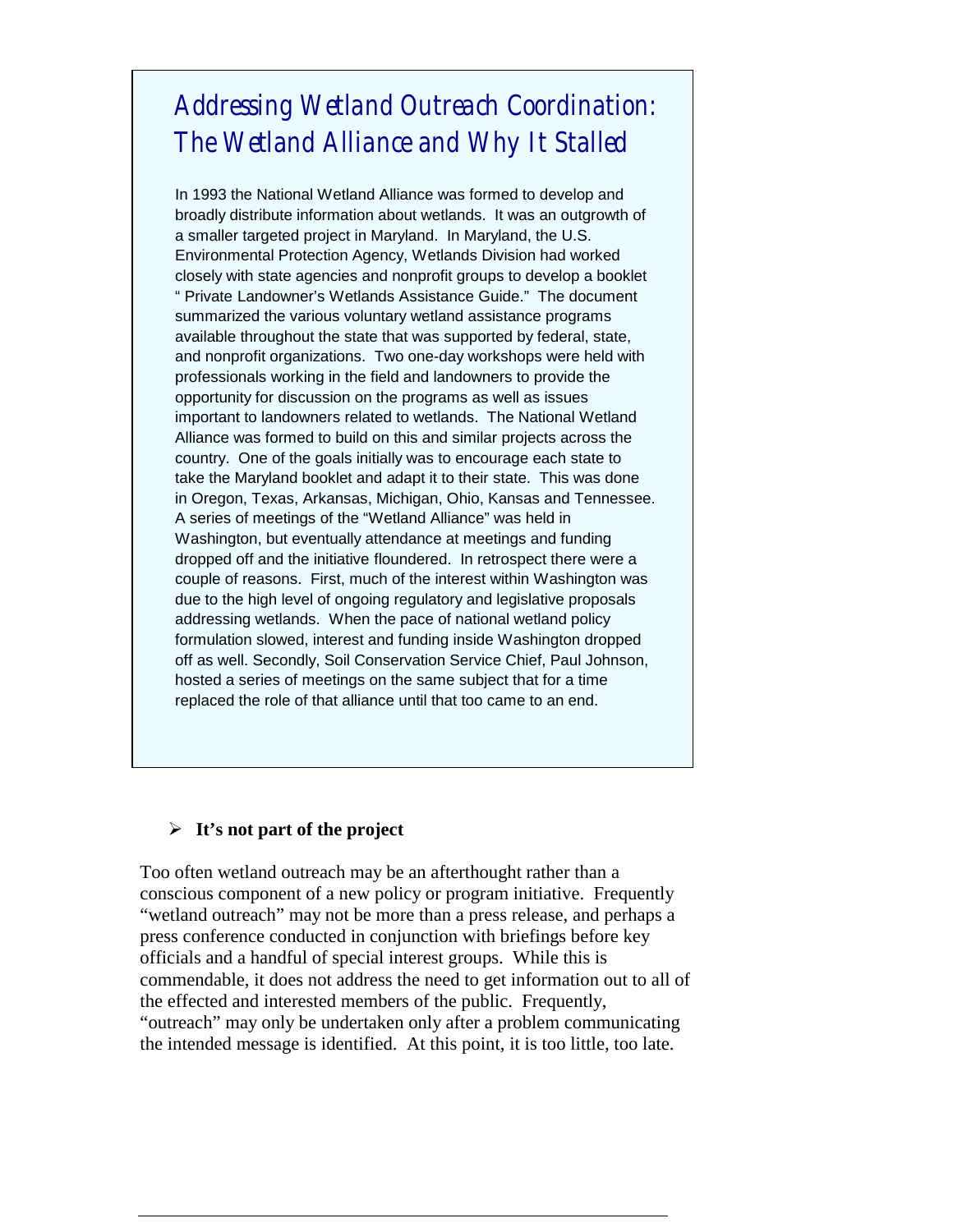### Addressing Wetland Outreach Coordination: The Wetland Alliance and Why It Stalled

In 1993 the National Wetland Alliance was formed to develop and broadly distribute information about wetlands. It was an outgrowth of a smaller targeted project in Maryland. In Maryland, the U.S. Environmental Protection Agency, Wetlands Division had worked closely with state agencies and nonprofit groups to develop a booklet " Private Landowner's Wetlands Assistance Guide." The document summarized the various voluntary wetland assistance programs available throughout the state that was supported by federal, state, and nonprofit organizations. Two one-day workshops were held with professionals working in the field and landowners to provide the opportunity for discussion on the programs as well as issues important to landowners related to wetlands. The National Wetland Alliance was formed to build on this and similar projects across the country. One of the goals initially was to encourage each state to take the Maryland booklet and adapt it to their state. This was done in Oregon, Texas, Arkansas, Michigan, Ohio, Kansas and Tennessee. A series of meetings of the "Wetland Alliance" was held in Washington, but eventually attendance at meetings and funding dropped off and the initiative floundered. In retrospect there were a couple of reasons. First, much of the interest within Washington was due to the high level of ongoing regulatory and legislative proposals addressing wetlands. When the pace of national wetland policy formulation slowed, interest and funding inside Washington dropped off as well. Secondly, Soil Conservation Service Chief, Paul Johnson, hosted a series of meetings on the same subject that for a time replaced the role of that alliance until that too came to an end.

### ! **It's not part of the project**

Too often wetland outreach may be an afterthought rather than a conscious component of a new policy or program initiative. Frequently "wetland outreach" may not be more than a press release, and perhaps a press conference conducted in conjunction with briefings before key officials and a handful of special interest groups. While this is commendable, it does not address the need to get information out to all of the effected and interested members of the public. Frequently, "outreach" may only be undertaken only after a problem communicating the intended message is identified. At this point, it is too little, too late.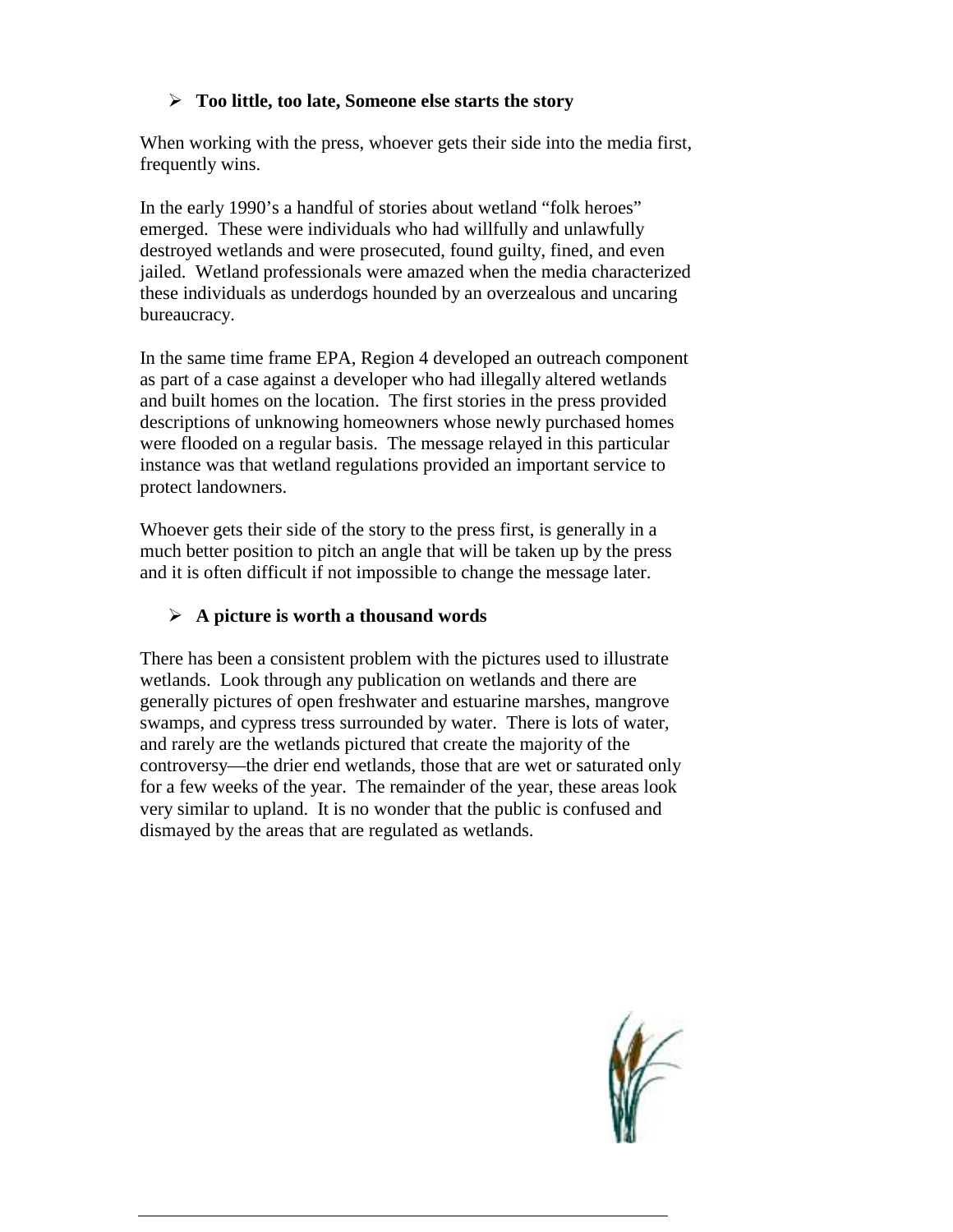### ! **Too little, too late, Someone else starts the story**

When working with the press, whoever gets their side into the media first, frequently wins.

In the early 1990's a handful of stories about wetland "folk heroes" emerged. These were individuals who had willfully and unlawfully destroyed wetlands and were prosecuted, found guilty, fined, and even jailed. Wetland professionals were amazed when the media characterized these individuals as underdogs hounded by an overzealous and uncaring bureaucracy.

In the same time frame EPA, Region 4 developed an outreach component as part of a case against a developer who had illegally altered wetlands and built homes on the location. The first stories in the press provided descriptions of unknowing homeowners whose newly purchased homes were flooded on a regular basis. The message relayed in this particular instance was that wetland regulations provided an important service to protect landowners.

Whoever gets their side of the story to the press first, is generally in a much better position to pitch an angle that will be taken up by the press and it is often difficult if not impossible to change the message later.

### ! **A picture is worth a thousand words**

There has been a consistent problem with the pictures used to illustrate wetlands. Look through any publication on wetlands and there are generally pictures of open freshwater and estuarine marshes, mangrove swamps, and cypress tress surrounded by water. There is lots of water, and rarely are the wetlands pictured that create the majority of the controversy—the drier end wetlands, those that are wet or saturated only for a few weeks of the year. The remainder of the year, these areas look very similar to upland. It is no wonder that the public is confused and dismayed by the areas that are regulated as wetlands.

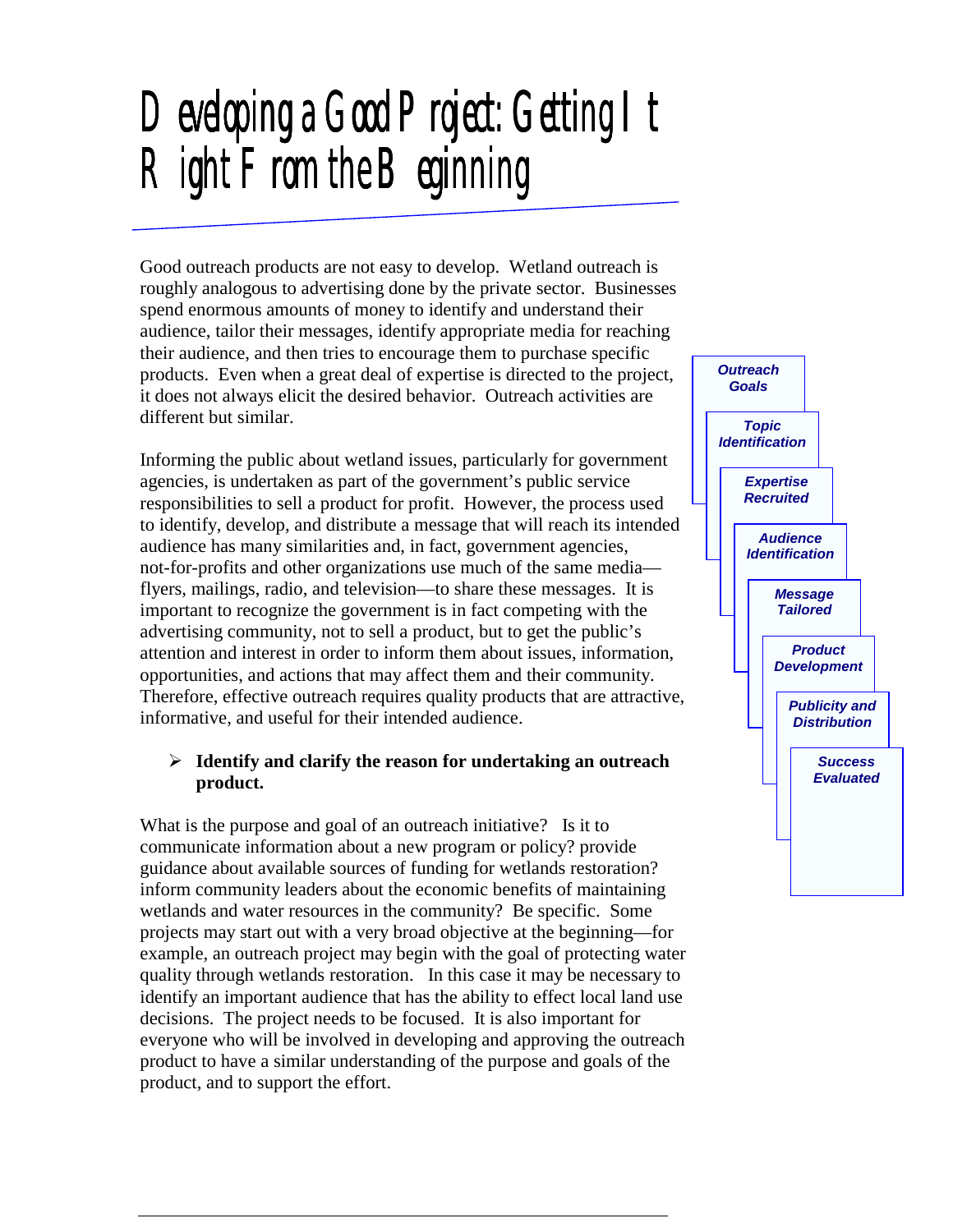# **Developing a Good Project: Getting 1 t Right From the Beginning**

Good outreach products are not easy to develop. Wetland outreach is roughly analogous to advertising done by the private sector. Businesses spend enormous amounts of money to identify and understand their audience, tailor their messages, identify appropriate media for reaching their audience, and then tries to encourage them to purchase specific products. Even when a great deal of expertise is directed to the project, it does not always elicit the desired behavior. Outreach activities are different but similar.

Informing the public about wetland issues, particularly for government agencies, is undertaken as part of the government's public service responsibilities to sell a product for profit. However, the process used to identify, develop, and distribute a message that will reach its intended audience has many similarities and, in fact, government agencies, not-for-profits and other organizations use much of the same media flyers, mailings, radio, and television—to share these messages. It is important to recognize the government is in fact competing with the advertising community, not to sell a product, but to get the public's attention and interest in order to inform them about issues, information, opportunities, and actions that may affect them and their community. Therefore, effective outreach requires quality products that are attractive, informative, and useful for their intended audience.

### ! **Identify and clarify the reason for undertaking an outreach product.**

What is the purpose and goal of an outreach initiative? Is it to communicate information about a new program or policy? provide guidance about available sources of funding for wetlands restoration? inform community leaders about the economic benefits of maintaining wetlands and water resources in the community? Be specific. Some projects may start out with a very broad objective at the beginning—for example, an outreach project may begin with the goal of protecting water quality through wetlands restoration. In this case it may be necessary to identify an important audience that has the ability to effect local land use decisions. The project needs to be focused. It is also important for everyone who will be involved in developing and approving the outreach product to have a similar understanding of the purpose and goals of the product, and to support the effort.

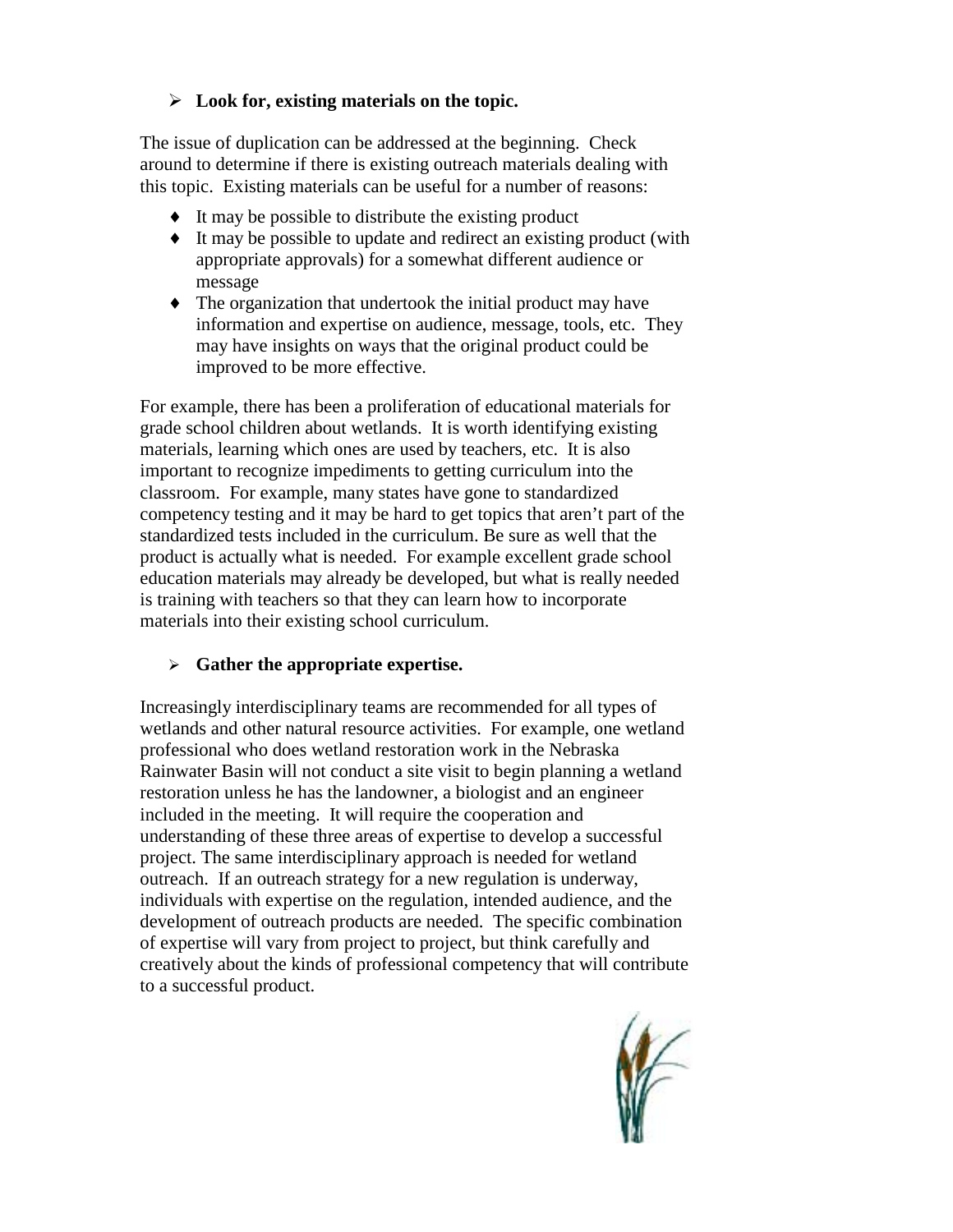### ! **Look for, existing materials on the topic.**

The issue of duplication can be addressed at the beginning. Check around to determine if there is existing outreach materials dealing with this topic. Existing materials can be useful for a number of reasons:

- $\bullet$  It may be possible to distribute the existing product
- ♦ It may be possible to update and redirect an existing product (with appropriate approvals) for a somewhat different audience or message
- $\bullet$  The organization that undertook the initial product may have information and expertise on audience, message, tools, etc. They may have insights on ways that the original product could be improved to be more effective.

For example, there has been a proliferation of educational materials for grade school children about wetlands. It is worth identifying existing materials, learning which ones are used by teachers, etc. It is also important to recognize impediments to getting curriculum into the classroom. For example, many states have gone to standardized competency testing and it may be hard to get topics that aren't part of the standardized tests included in the curriculum. Be sure as well that the product is actually what is needed. For example excellent grade school education materials may already be developed, but what is really needed is training with teachers so that they can learn how to incorporate materials into their existing school curriculum.

### ! **Gather the appropriate expertise.**

Increasingly interdisciplinary teams are recommended for all types of wetlands and other natural resource activities. For example, one wetland professional who does wetland restoration work in the Nebraska Rainwater Basin will not conduct a site visit to begin planning a wetland restoration unless he has the landowner, a biologist and an engineer included in the meeting. It will require the cooperation and understanding of these three areas of expertise to develop a successful project. The same interdisciplinary approach is needed for wetland outreach. If an outreach strategy for a new regulation is underway, individuals with expertise on the regulation, intended audience, and the development of outreach products are needed. The specific combination of expertise will vary from project to project, but think carefully and creatively about the kinds of professional competency that will contribute to a successful product.

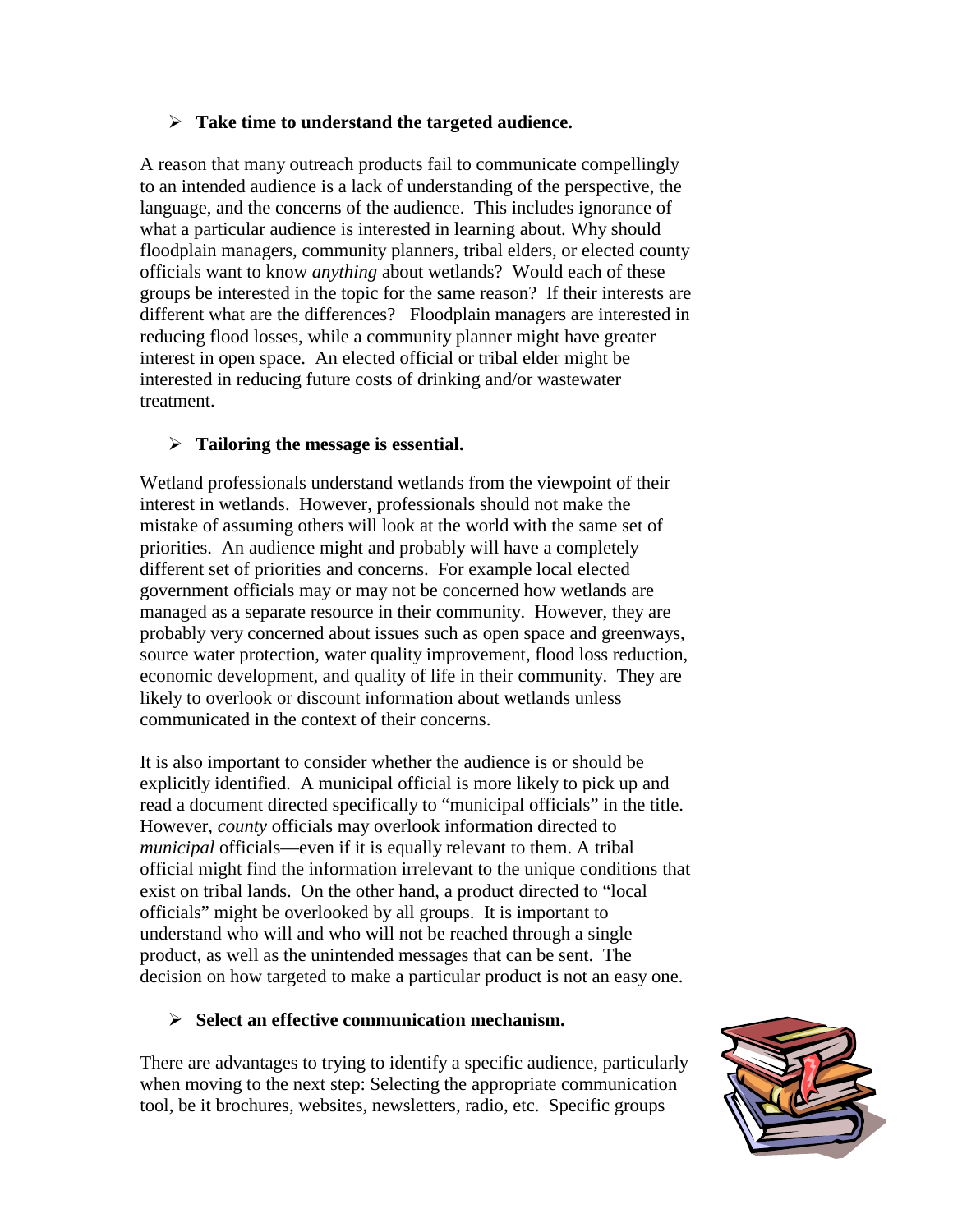### ! **Take time to understand the targeted audience.**

A reason that many outreach products fail to communicate compellingly to an intended audience is a lack of understanding of the perspective, the language, and the concerns of the audience. This includes ignorance of what a particular audience is interested in learning about. Why should floodplain managers, community planners, tribal elders, or elected county officials want to know *anything* about wetlands? Would each of these groups be interested in the topic for the same reason? If their interests are different what are the differences? Floodplain managers are interested in reducing flood losses, while a community planner might have greater interest in open space. An elected official or tribal elder might be interested in reducing future costs of drinking and/or wastewater treatment.

### ! **Tailoring the message is essential.**

Wetland professionals understand wetlands from the viewpoint of their interest in wetlands. However, professionals should not make the mistake of assuming others will look at the world with the same set of priorities. An audience might and probably will have a completely different set of priorities and concerns. For example local elected government officials may or may not be concerned how wetlands are managed as a separate resource in their community. However, they are probably very concerned about issues such as open space and greenways, source water protection, water quality improvement, flood loss reduction, economic development, and quality of life in their community. They are likely to overlook or discount information about wetlands unless communicated in the context of their concerns.

It is also important to consider whether the audience is or should be explicitly identified. A municipal official is more likely to pick up and read a document directed specifically to "municipal officials" in the title. However, *county* officials may overlook information directed to *municipal* officials—even if it is equally relevant to them. A tribal official might find the information irrelevant to the unique conditions that exist on tribal lands. On the other hand, a product directed to "local officials" might be overlooked by all groups. It is important to understand who will and who will not be reached through a single product, as well as the unintended messages that can be sent. The decision on how targeted to make a particular product is not an easy one.

### ! **Select an effective communication mechanism.**

There are advantages to trying to identify a specific audience, particularly when moving to the next step: Selecting the appropriate communication tool, be it brochures, websites, newsletters, radio, etc. Specific groups

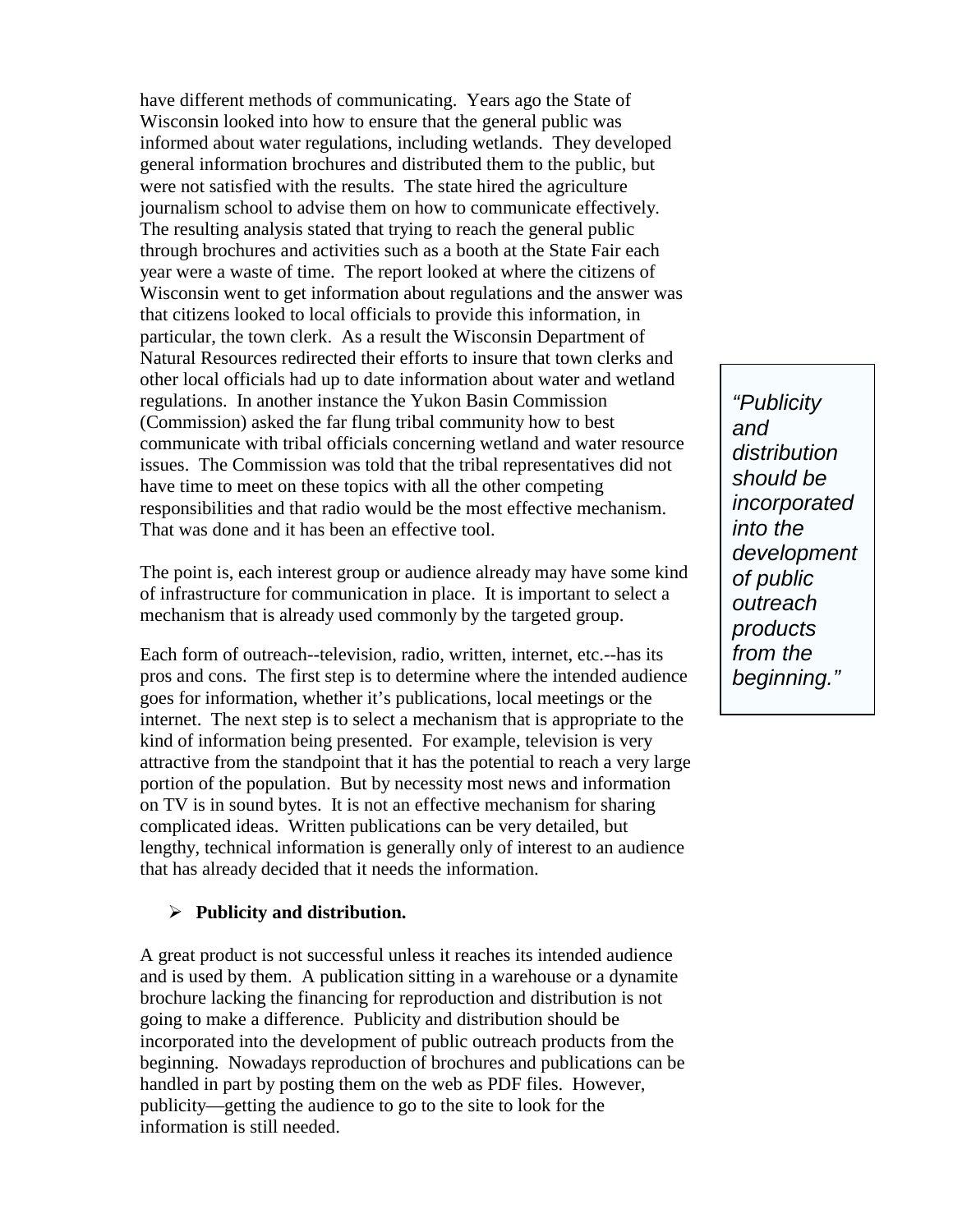have different methods of communicating. Years ago the State of Wisconsin looked into how to ensure that the general public was informed about water regulations, including wetlands. They developed general information brochures and distributed them to the public, but were not satisfied with the results. The state hired the agriculture journalism school to advise them on how to communicate effectively. The resulting analysis stated that trying to reach the general public through brochures and activities such as a booth at the State Fair each year were a waste of time. The report looked at where the citizens of Wisconsin went to get information about regulations and the answer was that citizens looked to local officials to provide this information, in particular, the town clerk. As a result the Wisconsin Department of Natural Resources redirected their efforts to insure that town clerks and other local officials had up to date information about water and wetland regulations. In another instance the Yukon Basin Commission (Commission) asked the far flung tribal community how to best communicate with tribal officials concerning wetland and water resource issues. The Commission was told that the tribal representatives did not have time to meet on these topics with all the other competing responsibilities and that radio would be the most effective mechanism. That was done and it has been an effective tool.

The point is, each interest group or audience already may have some kind of infrastructure for communication in place. It is important to select a mechanism that is already used commonly by the targeted group.

Each form of outreach--television, radio, written, internet, etc.--has its pros and cons. The first step is to determine where the intended audience goes for information, whether it's publications, local meetings or the internet. The next step is to select a mechanism that is appropriate to the kind of information being presented. For example, television is very attractive from the standpoint that it has the potential to reach a very large portion of the population. But by necessity most news and information on TV is in sound bytes. It is not an effective mechanism for sharing complicated ideas. Written publications can be very detailed, but lengthy, technical information is generally only of interest to an audience that has already decided that it needs the information.

### ! **Publicity and distribution.**

A great product is not successful unless it reaches its intended audience and is used by them. A publication sitting in a warehouse or a dynamite brochure lacking the financing for reproduction and distribution is not going to make a difference. Publicity and distribution should be incorporated into the development of public outreach products from the beginning. Nowadays reproduction of brochures and publications can be handled in part by posting them on the web as PDF files. However, publicity—getting the audience to go to the site to look for the information is still needed.

*"Publicity and distribution should be incorporated into the development of public outreach products from the beginning."*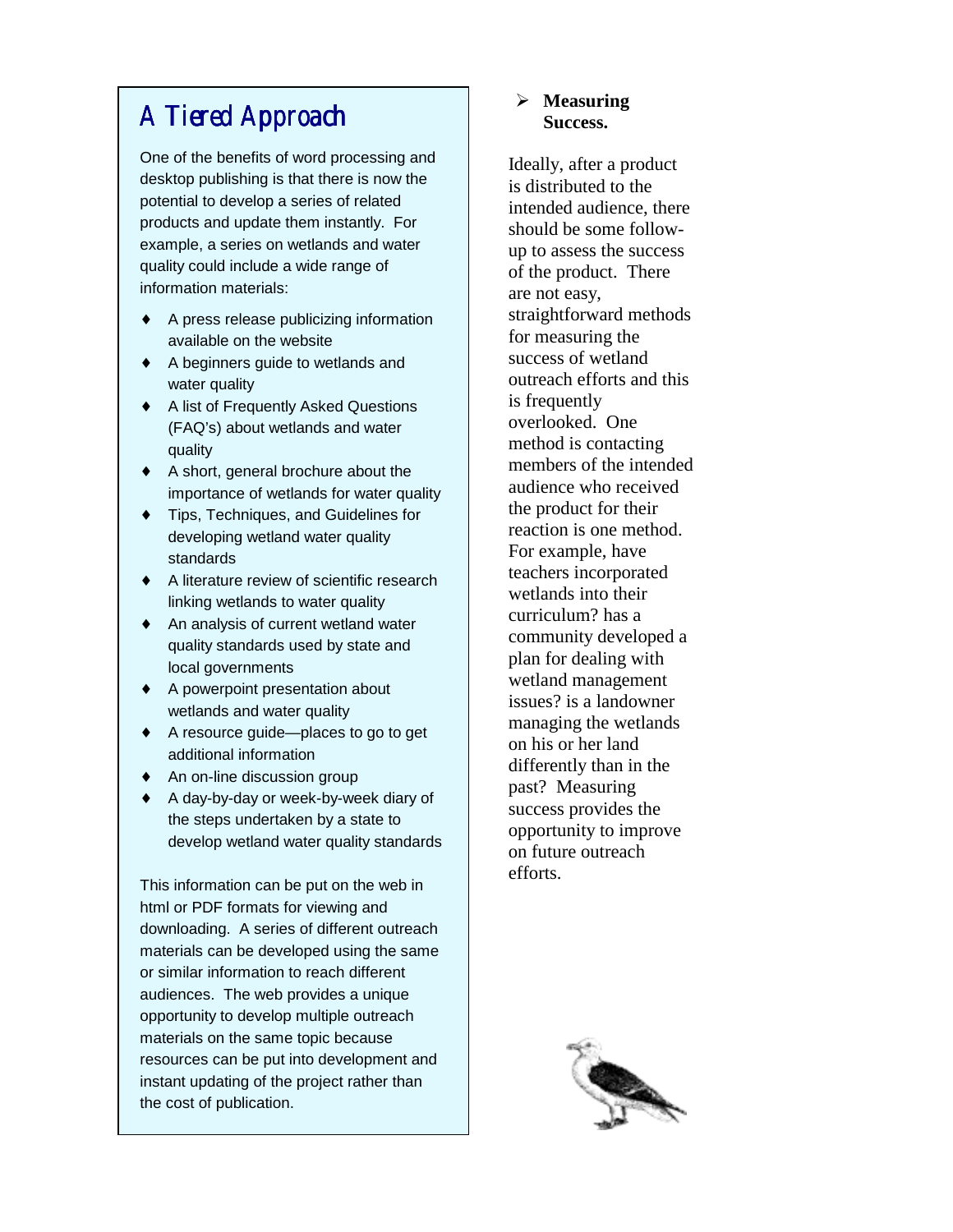### A Tiered Approach

One of the benefits of word processing and desktop publishing is that there is now the potential to develop a series of related products and update them instantly. For example, a series on wetlands and water quality could include a wide range of information materials:

- ♦ A press release publicizing information available on the website
- ♦ A beginners guide to wetlands and water quality
- ♦ A list of Frequently Asked Questions (FAQ's) about wetlands and water quality
- ♦ A short, general brochure about the importance of wetlands for water quality
- ♦ Tips, Techniques, and Guidelines for developing wetland water quality standards
- ♦ A literature review of scientific research linking wetlands to water quality
- ♦ An analysis of current wetland water quality standards used by state and local governments
- ♦ A powerpoint presentation about wetlands and water quality
- ♦ A resource guide—places to go to get additional information
- ♦ An on-line discussion group
- ♦ A day-by-day or week-by-week diary of the steps undertaken by a state to develop wetland water quality standards

This information can be put on the web in html or PDF formats for viewing and downloading. A series of different outreach materials can be developed using the same or similar information to reach different audiences. The web provides a unique opportunity to develop multiple outreach materials on the same topic because resources can be put into development and instant updating of the project rather than the cost of publication.

### ! **Measuring Success.**

Ideally, after a product is distributed to the intended audience, there should be some followup to assess the success of the product. There are not easy, straightforward methods for measuring the success of wetland outreach efforts and this is frequently overlooked. One method is contacting members of the intended audience who received the product for their reaction is one method. For example, have teachers incorporated wetlands into their curriculum? has a community developed a plan for dealing with wetland management issues? is a landowner managing the wetlands on his or her land differently than in the past? Measuring success provides the opportunity to improve on future outreach efforts.

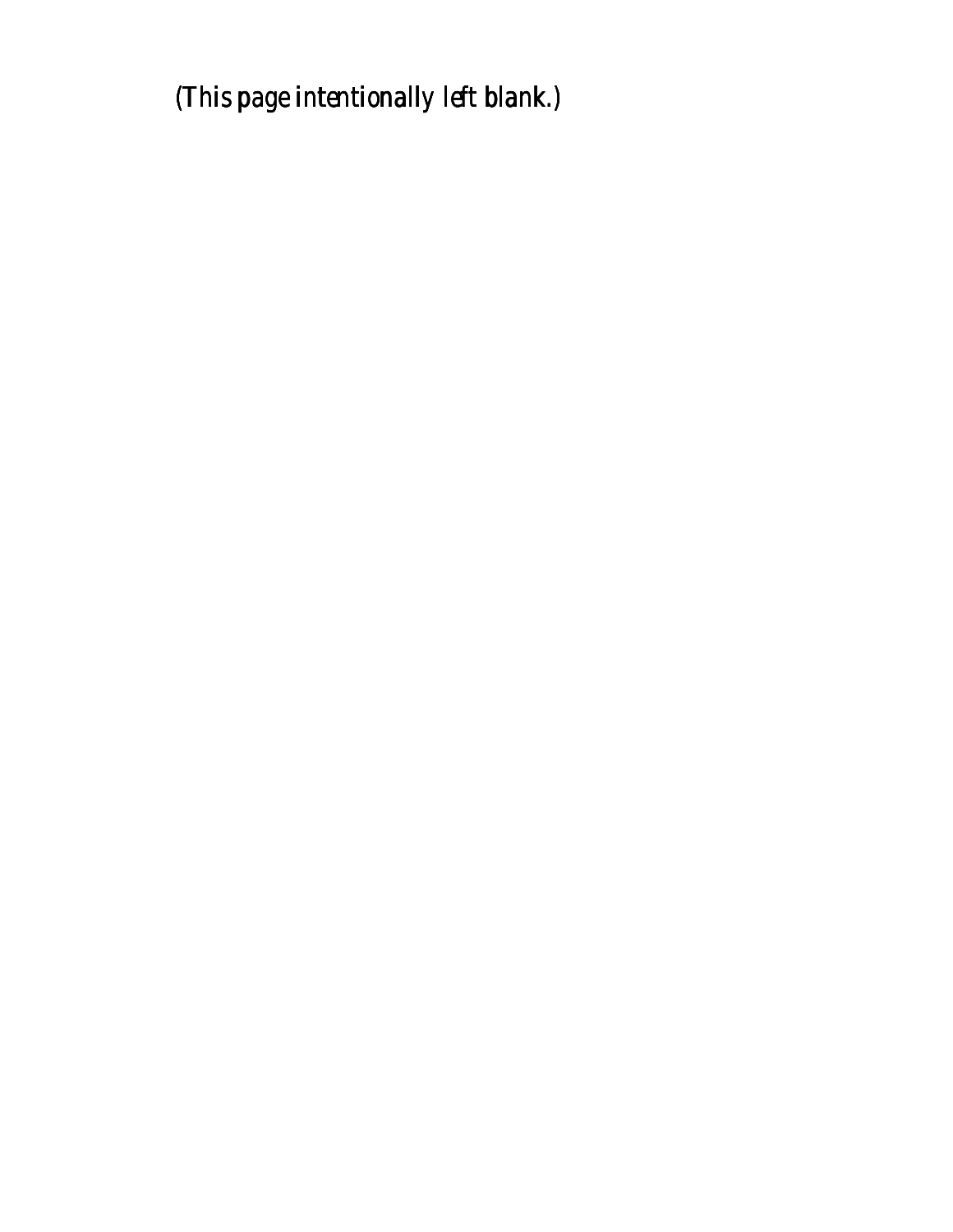(This page intentionally left blank.)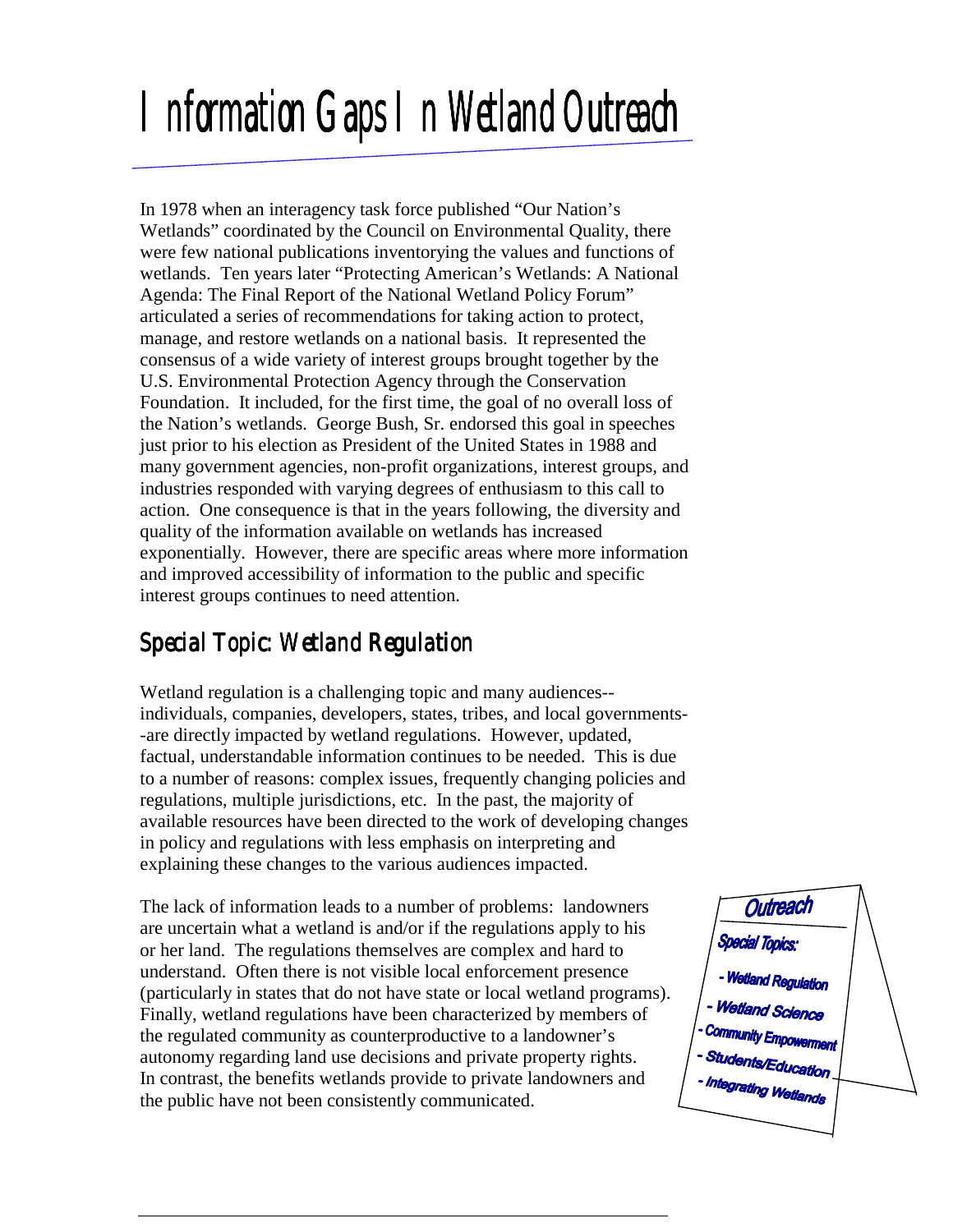# **Information Gaps In Wetland Outreach**

In 1978 when an interagency task force published "Our Nation's Wetlands" coordinated by the Council on Environmental Quality, there were few national publications inventorying the values and functions of wetlands. Ten years later "Protecting American's Wetlands: A National Agenda: The Final Report of the National Wetland Policy Forum" articulated a series of recommendations for taking action to protect, manage, and restore wetlands on a national basis. It represented the consensus of a wide variety of interest groups brought together by the U.S. Environmental Protection Agency through the Conservation Foundation. It included, for the first time, the goal of no overall loss of the Nation's wetlands. George Bush, Sr. endorsed this goal in speeches just prior to his election as President of the United States in 1988 and many government agencies, non-profit organizations, interest groups, and industries responded with varying degrees of enthusiasm to this call to action. One consequence is that in the years following, the diversity and quality of the information available on wetlands has increased exponentially. However, there are specific areas where more information and improved accessibility of information to the public and specific interest groups continues to need attention.

### Special Topic: Wetland Regulation

Wetland regulation is a challenging topic and many audiences- individuals, companies, developers, states, tribes, and local governments- -are directly impacted by wetland regulations. However, updated, factual, understandable information continues to be needed. This is due to a number of reasons: complex issues, frequently changing policies and regulations, multiple jurisdictions, etc. In the past, the majority of available resources have been directed to the work of developing changes in policy and regulations with less emphasis on interpreting and explaining these changes to the various audiences impacted.

The lack of information leads to a number of problems: landowners are uncertain what a wetland is and/or if the regulations apply to his or her land. The regulations themselves are complex and hard to understand. Often there is not visible local enforcement presence (particularly in states that do not have state or local wetland programs). Finally, wetland regulations have been characterized by members of the regulated community as counterproductive to a landowner's autonomy regarding land use decisions and private property rights. In contrast, the benefits wetlands provide to private landowners and the public have not been consistently communicated.

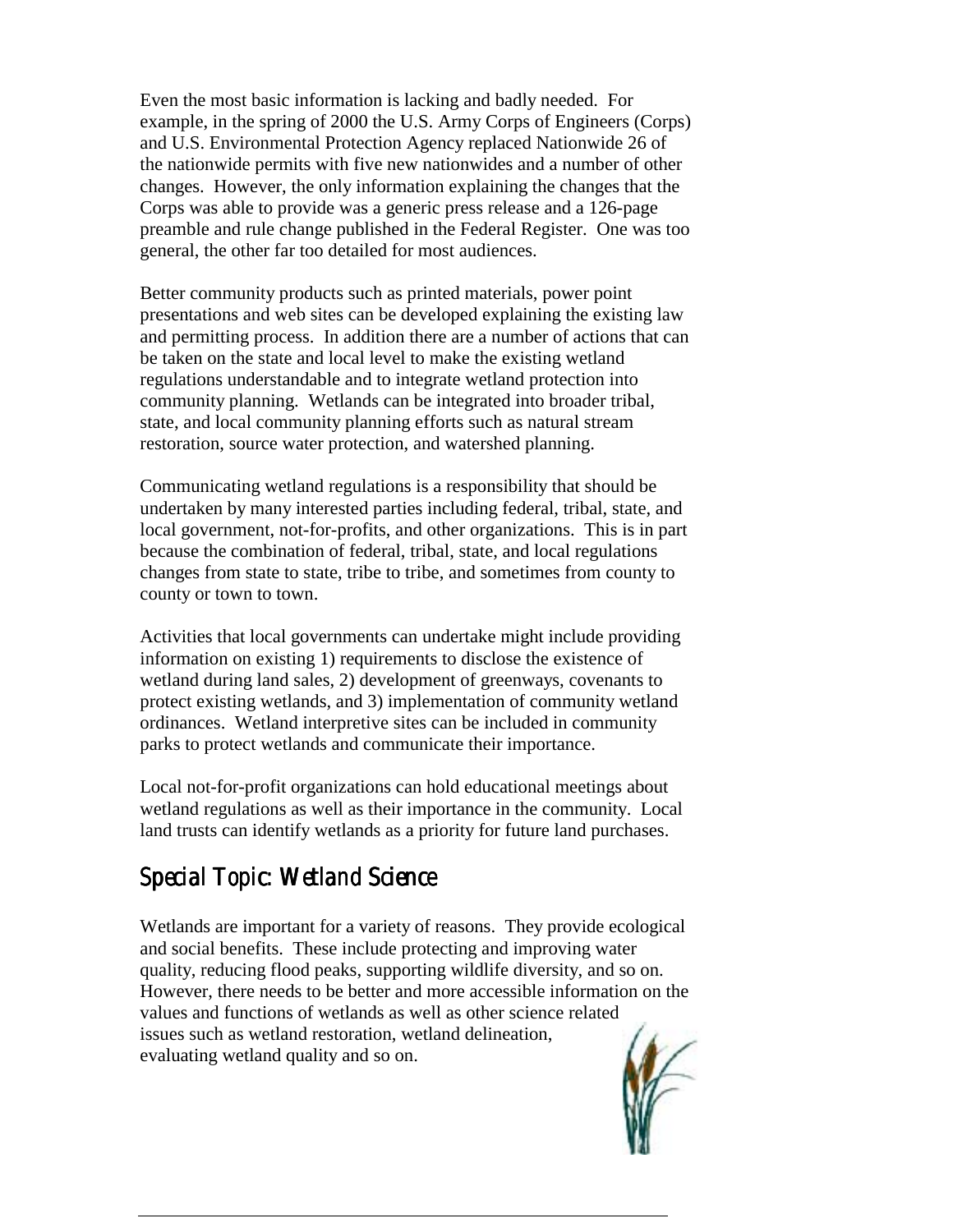Even the most basic information is lacking and badly needed. For example, in the spring of 2000 the U.S. Army Corps of Engineers (Corps) and U.S. Environmental Protection Agency replaced Nationwide 26 of the nationwide permits with five new nationwides and a number of other changes. However, the only information explaining the changes that the Corps was able to provide was a generic press release and a 126-page preamble and rule change published in the Federal Register. One was too general, the other far too detailed for most audiences.

Better community products such as printed materials, power point presentations and web sites can be developed explaining the existing law and permitting process. In addition there are a number of actions that can be taken on the state and local level to make the existing wetland regulations understandable and to integrate wetland protection into community planning. Wetlands can be integrated into broader tribal, state, and local community planning efforts such as natural stream restoration, source water protection, and watershed planning.

Communicating wetland regulations is a responsibility that should be undertaken by many interested parties including federal, tribal, state, and local government, not-for-profits, and other organizations. This is in part because the combination of federal, tribal, state, and local regulations changes from state to state, tribe to tribe, and sometimes from county to county or town to town.

Activities that local governments can undertake might include providing information on existing 1) requirements to disclose the existence of wetland during land sales, 2) development of greenways, covenants to protect existing wetlands, and 3) implementation of community wetland ordinances. Wetland interpretive sites can be included in community parks to protect wetlands and communicate their importance.

Local not-for-profit organizations can hold educational meetings about wetland regulations as well as their importance in the community. Local land trusts can identify wetlands as a priority for future land purchases.

### Special Topic: Wetland Science

Wetlands are important for a variety of reasons. They provide ecological and social benefits. These include protecting and improving water quality, reducing flood peaks, supporting wildlife diversity, and so on. However, there needs to be better and more accessible information on the values and functions of wetlands as well as other science related issues such as wetland restoration, wetland delineation, evaluating wetland quality and so on.

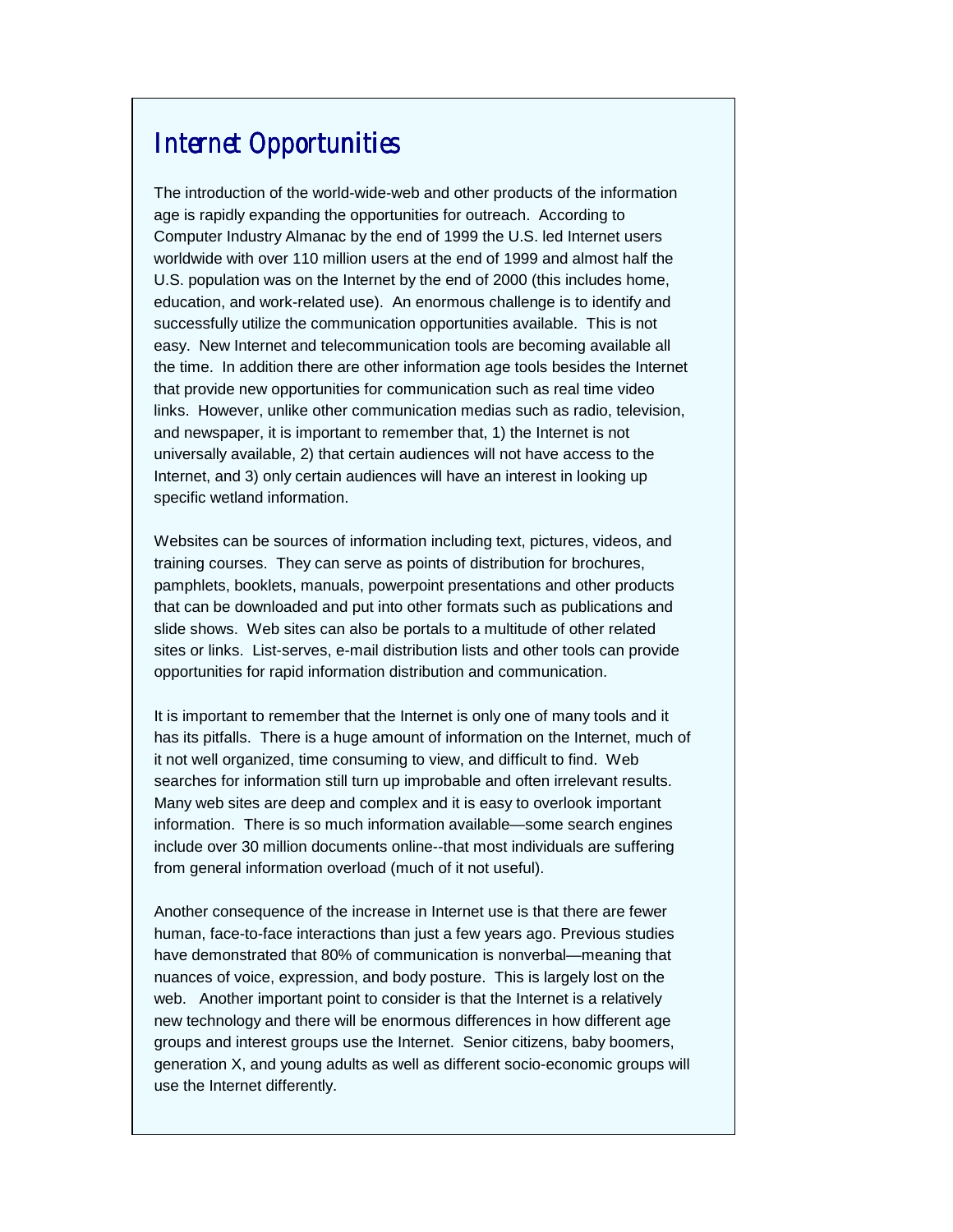### **Internet Opportunities**

The introduction of the world-wide-web and other products of the information age is rapidly expanding the opportunities for outreach. According to Computer Industry Almanac by the end of 1999 the U.S. led Internet users worldwide with over 110 million users at the end of 1999 and almost half the U.S. population was on the Internet by the end of 2000 (this includes home, education, and work-related use). An enormous challenge is to identify and successfully utilize the communication opportunities available. This is not easy. New Internet and telecommunication tools are becoming available all the time. In addition there are other information age tools besides the Internet that provide new opportunities for communication such as real time video links. However, unlike other communication medias such as radio, television, and newspaper, it is important to remember that, 1) the Internet is not universally available, 2) that certain audiences will not have access to the Internet, and 3) only certain audiences will have an interest in looking up specific wetland information.

Websites can be sources of information including text, pictures, videos, and training courses. They can serve as points of distribution for brochures, pamphlets, booklets, manuals, powerpoint presentations and other products that can be downloaded and put into other formats such as publications and slide shows. Web sites can also be portals to a multitude of other related sites or links. List-serves, e-mail distribution lists and other tools can provide opportunities for rapid information distribution and communication.

It is important to remember that the Internet is only one of many tools and it has its pitfalls. There is a huge amount of information on the Internet, much of it not well organized, time consuming to view, and difficult to find. Web searches for information still turn up improbable and often irrelevant results. Many web sites are deep and complex and it is easy to overlook important information. There is so much information available—some search engines include over 30 million documents online--that most individuals are suffering from general information overload (much of it not useful).

Another consequence of the increase in Internet use is that there are fewer human, face-to-face interactions than just a few years ago. Previous studies have demonstrated that 80% of communication is nonverbal—meaning that nuances of voice, expression, and body posture. This is largely lost on the web. Another important point to consider is that the Internet is a relatively new technology and there will be enormous differences in how different age groups and interest groups use the Internet. Senior citizens, baby boomers, generation X, and young adults as well as different socio-economic groups will use the Internet differently.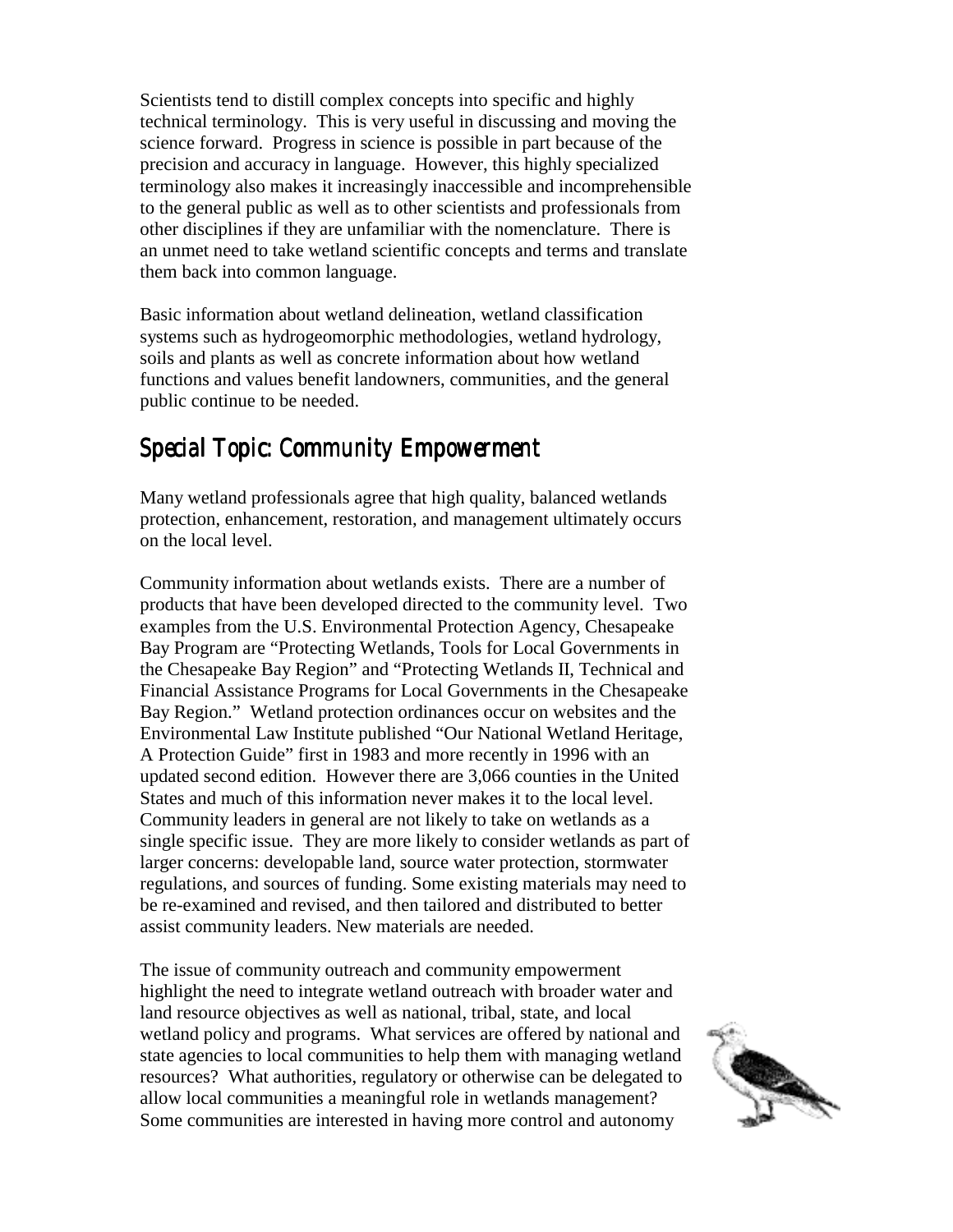Scientists tend to distill complex concepts into specific and highly technical terminology. This is very useful in discussing and moving the science forward. Progress in science is possible in part because of the precision and accuracy in language. However, this highly specialized terminology also makes it increasingly inaccessible and incomprehensible to the general public as well as to other scientists and professionals from other disciplines if they are unfamiliar with the nomenclature. There is an unmet need to take wetland scientific concepts and terms and translate them back into common language.

Basic information about wetland delineation, wetland classification systems such as hydrogeomorphic methodologies, wetland hydrology, soils and plants as well as concrete information about how wetland functions and values benefit landowners, communities, and the general public continue to be needed.

### Special Topic: Community Empowerment

Many wetland professionals agree that high quality, balanced wetlands protection, enhancement, restoration, and management ultimately occurs on the local level.

Community information about wetlands exists. There are a number of products that have been developed directed to the community level. Two examples from the U.S. Environmental Protection Agency, Chesapeake Bay Program are "Protecting Wetlands, Tools for Local Governments in the Chesapeake Bay Region" and "Protecting Wetlands II, Technical and Financial Assistance Programs for Local Governments in the Chesapeake Bay Region." Wetland protection ordinances occur on websites and the Environmental Law Institute published "Our National Wetland Heritage, A Protection Guide" first in 1983 and more recently in 1996 with an updated second edition. However there are 3,066 counties in the United States and much of this information never makes it to the local level. Community leaders in general are not likely to take on wetlands as a single specific issue. They are more likely to consider wetlands as part of larger concerns: developable land, source water protection, stormwater regulations, and sources of funding. Some existing materials may need to be re-examined and revised, and then tailored and distributed to better assist community leaders. New materials are needed.

The issue of community outreach and community empowerment highlight the need to integrate wetland outreach with broader water and land resource objectives as well as national, tribal, state, and local wetland policy and programs. What services are offered by national and state agencies to local communities to help them with managing wetland resources? What authorities, regulatory or otherwise can be delegated to allow local communities a meaningful role in wetlands management? Some communities are interested in having more control and autonomy

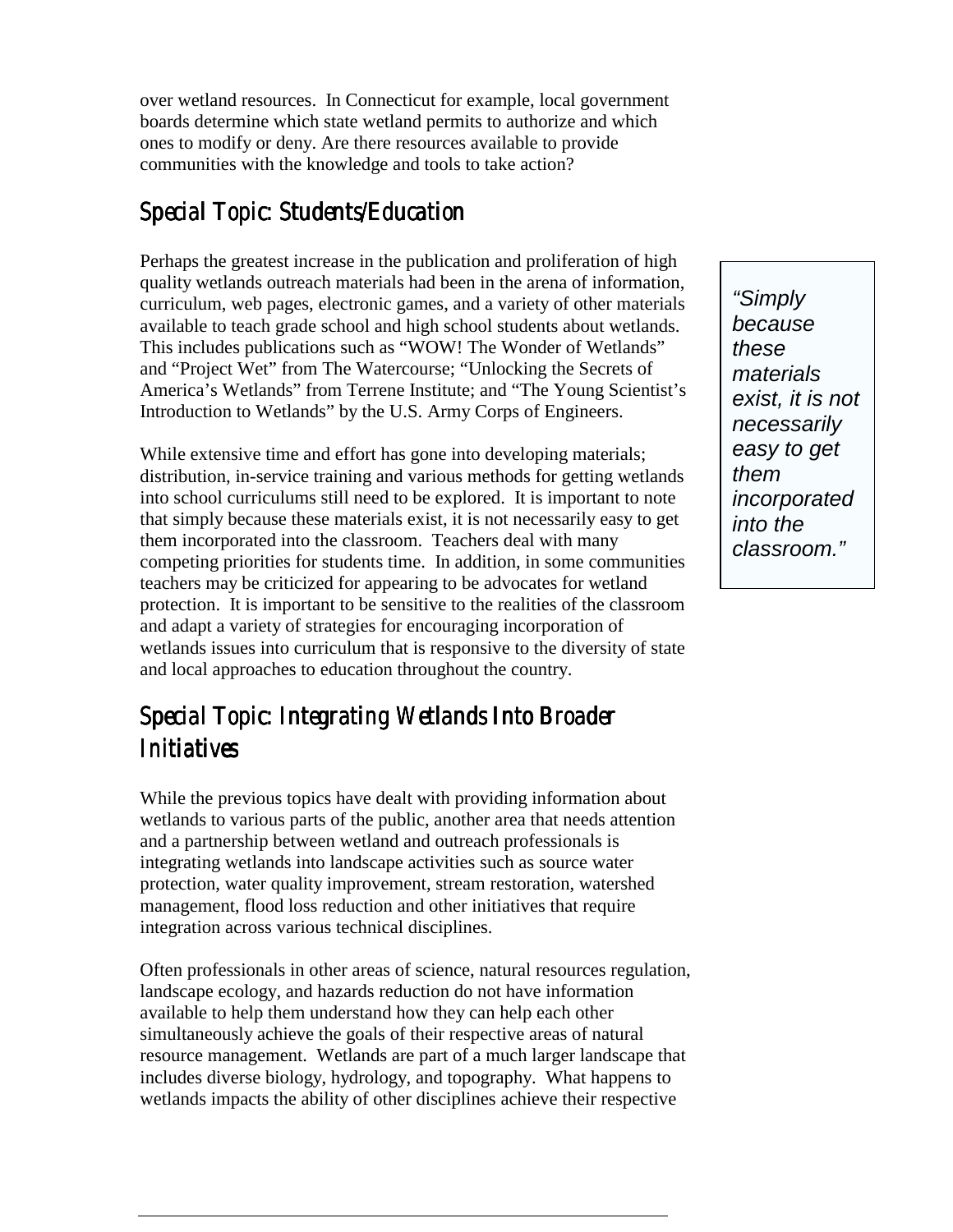over wetland resources. In Connecticut for example, local government boards determine which state wetland permits to authorize and which ones to modify or deny. Are there resources available to provide communities with the knowledge and tools to take action?

### Special Topic: Students/Education

Perhaps the greatest increase in the publication and proliferation of high quality wetlands outreach materials had been in the arena of information, curriculum, web pages, electronic games, and a variety of other materials available to teach grade school and high school students about wetlands. This includes publications such as "WOW! The Wonder of Wetlands" and "Project Wet" from The Watercourse; "Unlocking the Secrets of America's Wetlands" from Terrene Institute; and "The Young Scientist's Introduction to Wetlands" by the U.S. Army Corps of Engineers.

While extensive time and effort has gone into developing materials; distribution, in-service training and various methods for getting wetlands into school curriculums still need to be explored. It is important to note that simply because these materials exist, it is not necessarily easy to get them incorporated into the classroom. Teachers deal with many competing priorities for students time. In addition, in some communities teachers may be criticized for appearing to be advocates for wetland protection. It is important to be sensitive to the realities of the classroom and adapt a variety of strategies for encouraging incorporation of wetlands issues into curriculum that is responsive to the diversity of state and local approaches to education throughout the country.

### Special Topic: Integrating Wetlands Into Broader **Initiatives**

While the previous topics have dealt with providing information about wetlands to various parts of the public, another area that needs attention and a partnership between wetland and outreach professionals is integrating wetlands into landscape activities such as source water protection, water quality improvement, stream restoration, watershed management, flood loss reduction and other initiatives that require integration across various technical disciplines.

Often professionals in other areas of science, natural resources regulation, landscape ecology, and hazards reduction do not have information available to help them understand how they can help each other simultaneously achieve the goals of their respective areas of natural resource management. Wetlands are part of a much larger landscape that includes diverse biology, hydrology, and topography. What happens to wetlands impacts the ability of other disciplines achieve their respective

*"Simply because these materials exist, it is not necessarily easy to get them incorporated into the classroom."*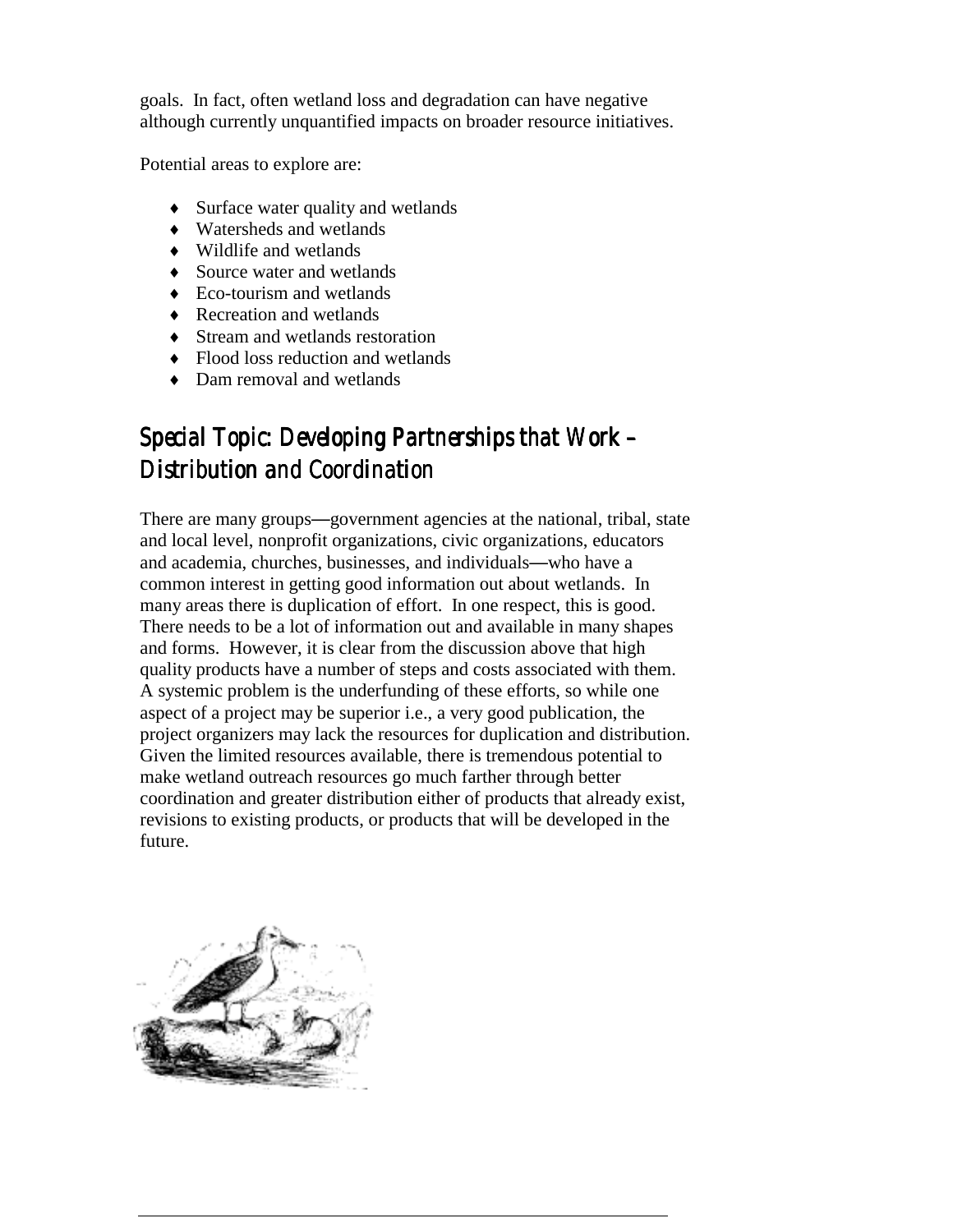goals. In fact, often wetland loss and degradation can have negative although currently unquantified impacts on broader resource initiatives.

Potential areas to explore are:

- $\bullet$  Surface water quality and wetlands
- ♦ Watersheds and wetlands
- $\bullet$  Wildlife and wetlands
- ♦ Source water and wetlands
- $\leftarrow$  Eco-tourism and wetlands
- $\leftarrow$  Recreation and wetlands
- $\bullet$  Stream and wetlands restoration
- $\bullet$  Flood loss reduction and wetlands
- Dam removal and wetlands

### Special Topic: Developing Partnerships that Work – Distribution and Coordination

There are many groups—government agencies at the national, tribal, state and local level, nonprofit organizations, civic organizations, educators and academia, churches, businesses, and individuals—who have a common interest in getting good information out about wetlands. In many areas there is duplication of effort. In one respect, this is good. There needs to be a lot of information out and available in many shapes and forms. However, it is clear from the discussion above that high quality products have a number of steps and costs associated with them. A systemic problem is the underfunding of these efforts, so while one aspect of a project may be superior i.e., a very good publication, the project organizers may lack the resources for duplication and distribution. Given the limited resources available, there is tremendous potential to make wetland outreach resources go much farther through better coordination and greater distribution either of products that already exist, revisions to existing products, or products that will be developed in the future.

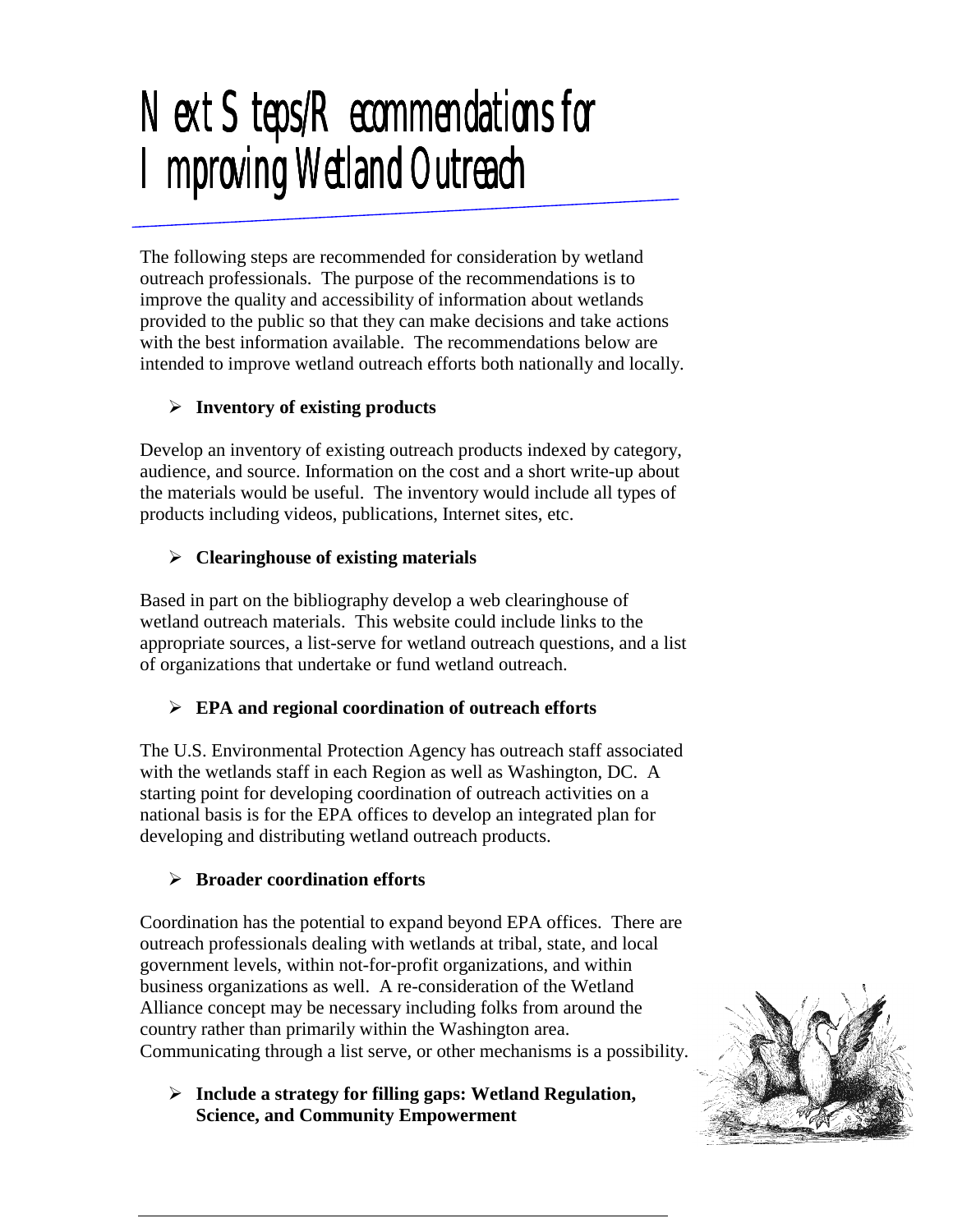# **Next Steps/Recommendations for I** mproving Wetland Outreach

The following steps are recommended for consideration by wetland outreach professionals. The purpose of the recommendations is to improve the quality and accessibility of information about wetlands provided to the public so that they can make decisions and take actions with the best information available. The recommendations below are intended to improve wetland outreach efforts both nationally and locally.

### ! **Inventory of existing products**

Develop an inventory of existing outreach products indexed by category, audience, and source. Information on the cost and a short write-up about the materials would be useful. The inventory would include all types of products including videos, publications, Internet sites, etc.

### ! **Clearinghouse of existing materials**

Based in part on the bibliography develop a web clearinghouse of wetland outreach materials. This website could include links to the appropriate sources, a list-serve for wetland outreach questions, and a list of organizations that undertake or fund wetland outreach.

### ! **EPA and regional coordination of outreach efforts**

The U.S. Environmental Protection Agency has outreach staff associated with the wetlands staff in each Region as well as Washington, DC. A starting point for developing coordination of outreach activities on a national basis is for the EPA offices to develop an integrated plan for developing and distributing wetland outreach products.

### ! **Broader coordination efforts**

Coordination has the potential to expand beyond EPA offices. There are outreach professionals dealing with wetlands at tribal, state, and local government levels, within not-for-profit organizations, and within business organizations as well. A re-consideration of the Wetland Alliance concept may be necessary including folks from around the country rather than primarily within the Washington area. Communicating through a list serve, or other mechanisms is a possibility.

! **Include a strategy for filling gaps: Wetland Regulation, Science, and Community Empowerment** 

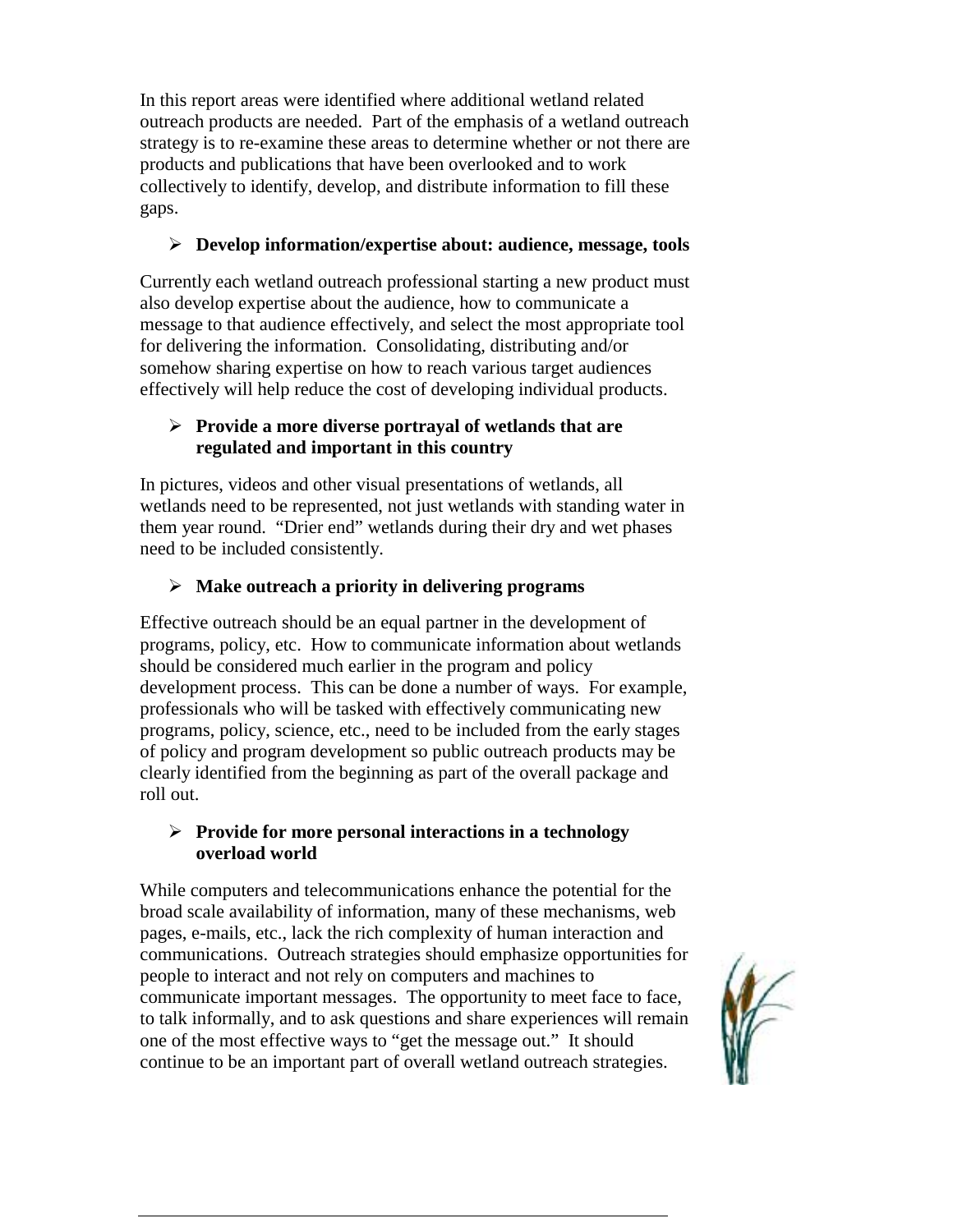In this report areas were identified where additional wetland related outreach products are needed. Part of the emphasis of a wetland outreach strategy is to re-examine these areas to determine whether or not there are products and publications that have been overlooked and to work collectively to identify, develop, and distribute information to fill these gaps.

### ! **Develop information/expertise about: audience, message, tools**

Currently each wetland outreach professional starting a new product must also develop expertise about the audience, how to communicate a message to that audience effectively, and select the most appropriate tool for delivering the information. Consolidating, distributing and/or somehow sharing expertise on how to reach various target audiences effectively will help reduce the cost of developing individual products.

### ! **Provide a more diverse portrayal of wetlands that are regulated and important in this country**

In pictures, videos and other visual presentations of wetlands, all wetlands need to be represented, not just wetlands with standing water in them year round. "Drier end" wetlands during their dry and wet phases need to be included consistently.

### ! **Make outreach a priority in delivering programs**

Effective outreach should be an equal partner in the development of programs, policy, etc. How to communicate information about wetlands should be considered much earlier in the program and policy development process. This can be done a number of ways. For example, professionals who will be tasked with effectively communicating new programs, policy, science, etc., need to be included from the early stages of policy and program development so public outreach products may be clearly identified from the beginning as part of the overall package and roll out.

### ! **Provide for more personal interactions in a technology overload world**

While computers and telecommunications enhance the potential for the broad scale availability of information, many of these mechanisms, web pages, e-mails, etc., lack the rich complexity of human interaction and communications. Outreach strategies should emphasize opportunities for people to interact and not rely on computers and machines to communicate important messages. The opportunity to meet face to face, to talk informally, and to ask questions and share experiences will remain one of the most effective ways to "get the message out." It should continue to be an important part of overall wetland outreach strategies.

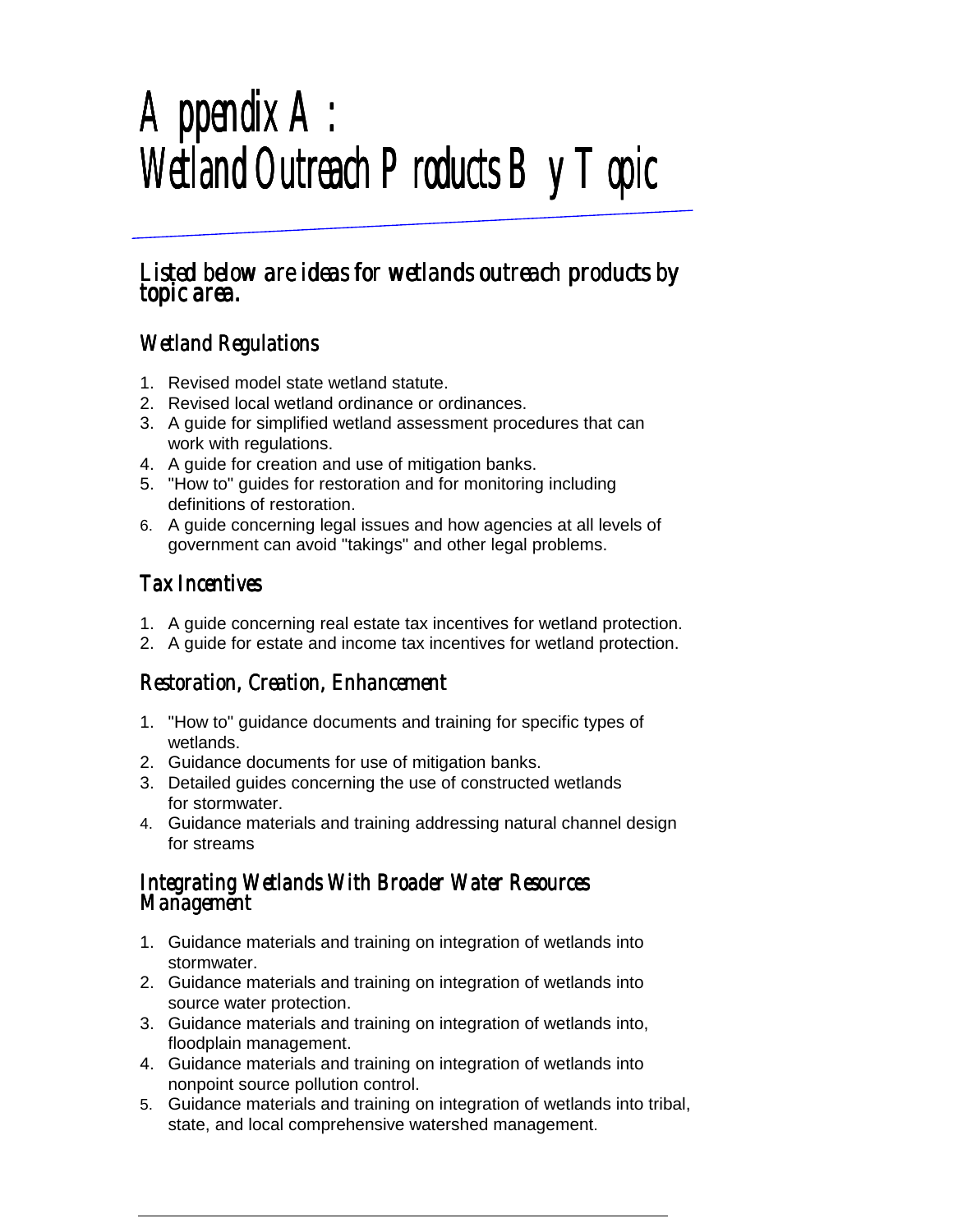# **Appendix A: A: Weiland Outreach Products By Topic**

Listed below are ideas for wetlands outreach products by topic area.

### Wetland Regulations

- 1. Revised model state wetland statute.
- 2. Revised local wetland ordinance or ordinances.
- 3. A guide for simplified wetland assessment procedures that can work with regulations.
- 4. A guide for creation and use of mitigation banks.
- 5. "How to" guides for restoration and for monitoring including definitions of restoration.
- 6. A guide concerning legal issues and how agencies at all levels of government can avoid "takings" and other legal problems.

### Tax Incentives

- 1. A guide concerning real estate tax incentives for wetland protection.
- 2. A guide for estate and income tax incentives for wetland protection.

### Restoration, Creation, Enhancement

- 1. "How to" guidance documents and training for specific types of wetlands.
- 2. Guidance documents for use of mitigation banks.
- 3. Detailed guides concerning the use of constructed wetlands for stormwater.
- 4. Guidance materials and training addressing natural channel design for streams

### Integrating Wetlands With Broader Water Resources Management

- 1. Guidance materials and training on integration of wetlands into stormwater.
- 2. Guidance materials and training on integration of wetlands into source water protection.
- 3. Guidance materials and training on integration of wetlands into, floodplain management.
- 4. Guidance materials and training on integration of wetlands into nonpoint source pollution control.
- 5. Guidance materials and training on integration of wetlands into tribal, state, and local comprehensive watershed management.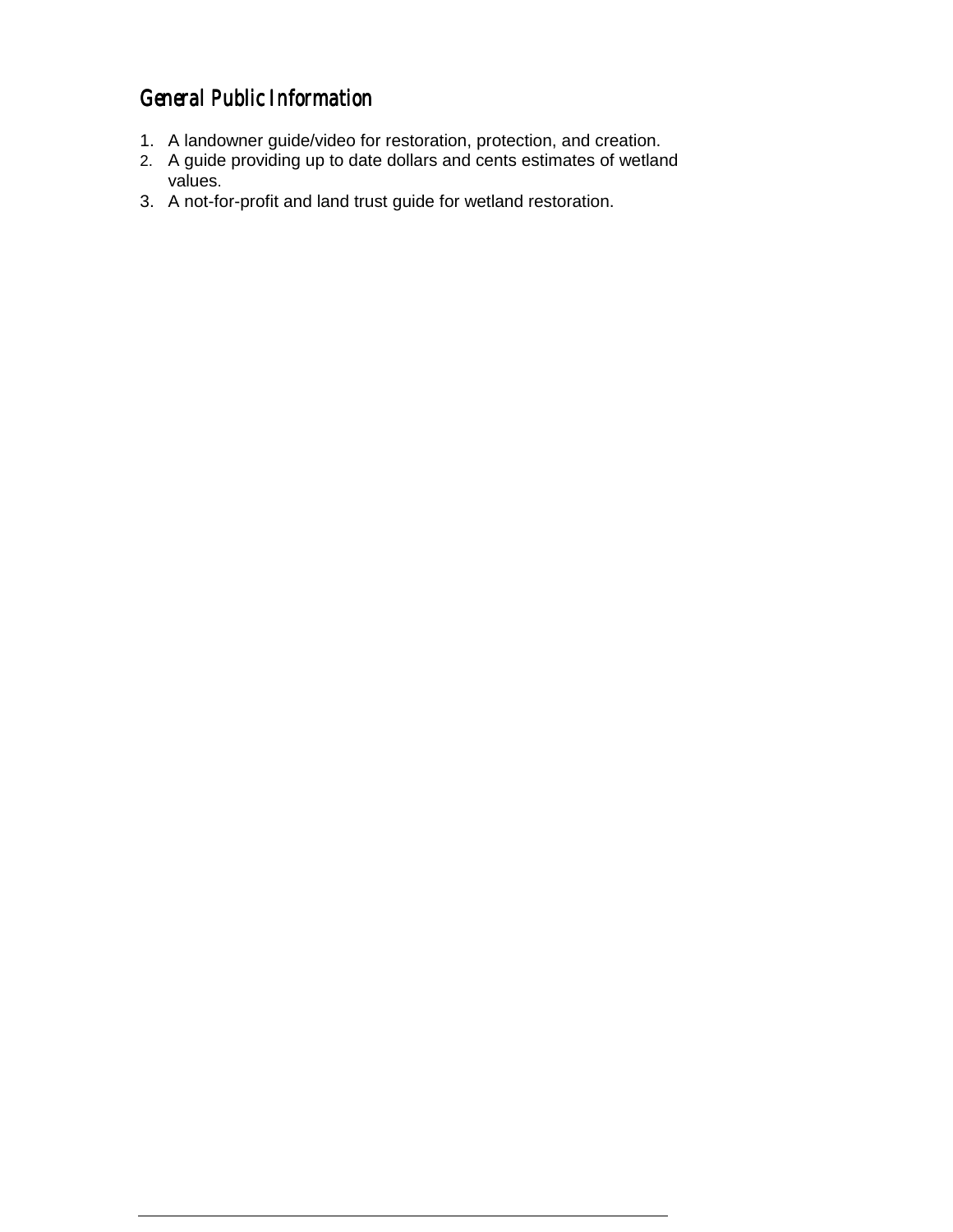### **General Public Information**

- 1. A landowner guide/video for restoration, protection, and creation.
- 2. A guide providing up to date dollars and cents estimates of wetland values.
- 3. A not-for-profit and land trust guide for wetland restoration.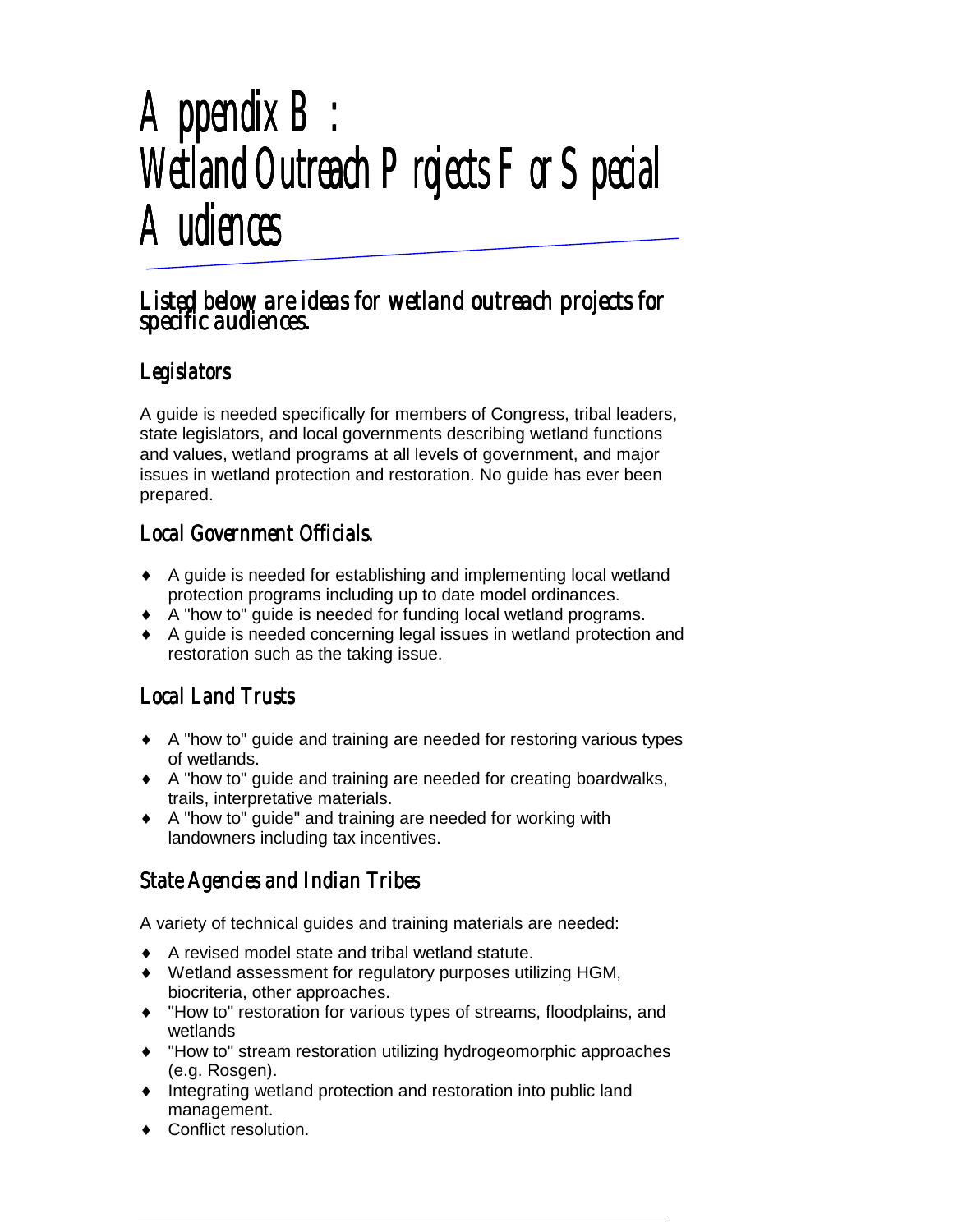# Appendix **B**: Wetland Outreach Projects For Special **Audiences**

Listed below are ideas for wetland outreach projects for specific audiences.

### Legislators

A guide is needed specifically for members of Congress, tribal leaders, state legislators, and local governments describing wetland functions and values, wetland programs at all levels of government, and major issues in wetland protection and restoration. No guide has ever been prepared.

### Local Government Officials.

- ♦ A guide is needed for establishing and implementing local wetland protection programs including up to date model ordinances.
- ♦ A "how to" guide is needed for funding local wetland programs.
- ♦ A guide is needed concerning legal issues in wetland protection and restoration such as the taking issue.

### **Local Land Trusts**

- ♦ A "how to" guide and training are needed for restoring various types of wetlands.
- ♦ A "how to" guide and training are needed for creating boardwalks, trails, interpretative materials.
- ♦ A "how to" guide" and training are needed for working with landowners including tax incentives.

### State Agencies and Indian Tribes

A variety of technical guides and training materials are needed:

- ♦ A revised model state and tribal wetland statute.
- ♦ Wetland assessment for regulatory purposes utilizing HGM, biocriteria, other approaches.
- ♦ "How to" restoration for various types of streams, floodplains, and wetlands
- ♦ "How to" stream restoration utilizing hydrogeomorphic approaches (e.g. Rosgen).
- ♦ Integrating wetland protection and restoration into public land management.
- Conflict resolution.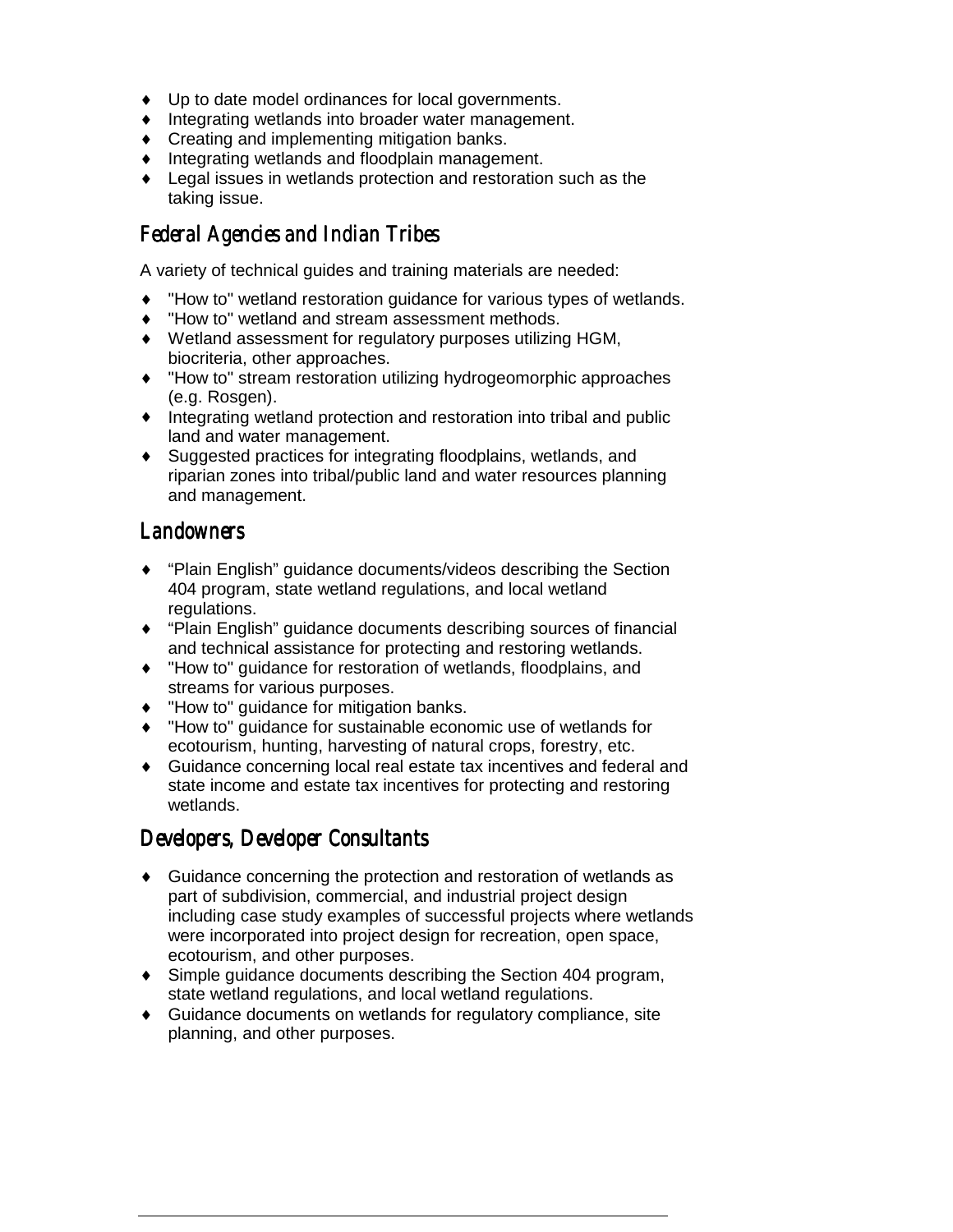- ♦ Up to date model ordinances for local governments.
- ♦ Integrating wetlands into broader water management.
- ♦ Creating and implementing mitigation banks.
- ♦ Integrating wetlands and floodplain management.
- ♦ Legal issues in wetlands protection and restoration such as the taking issue.

### Federal Agencies and Indian Tribes

A variety of technical guides and training materials are needed:

- "How to" wetland restoration guidance for various types of wetlands.
- ♦ "How to" wetland and stream assessment methods.
- ♦ Wetland assessment for regulatory purposes utilizing HGM, biocriteria, other approaches.
- ♦ "How to" stream restoration utilizing hydrogeomorphic approaches (e.g. Rosgen).
- ♦ Integrating wetland protection and restoration into tribal and public land and water management.
- ♦ Suggested practices for integrating floodplains, wetlands, and riparian zones into tribal/public land and water resources planning and management.

### **Landowners**

- ♦ "Plain English" guidance documents/videos describing the Section 404 program, state wetland regulations, and local wetland regulations.
- ♦ "Plain English" guidance documents describing sources of financial and technical assistance for protecting and restoring wetlands.
- ♦ "How to" guidance for restoration of wetlands, floodplains, and streams for various purposes.
- ♦ "How to" guidance for mitigation banks.
- ♦ "How to" guidance for sustainable economic use of wetlands for ecotourism, hunting, harvesting of natural crops, forestry, etc.
- ♦ Guidance concerning local real estate tax incentives and federal and state income and estate tax incentives for protecting and restoring wetlands.

### Developers, Developer Consultants

- ♦ Guidance concerning the protection and restoration of wetlands as part of subdivision, commercial, and industrial project design including case study examples of successful projects where wetlands were incorporated into project design for recreation, open space, ecotourism, and other purposes.
- ♦ Simple guidance documents describing the Section 404 program, state wetland regulations, and local wetland regulations.
- ♦ Guidance documents on wetlands for regulatory compliance, site planning, and other purposes.